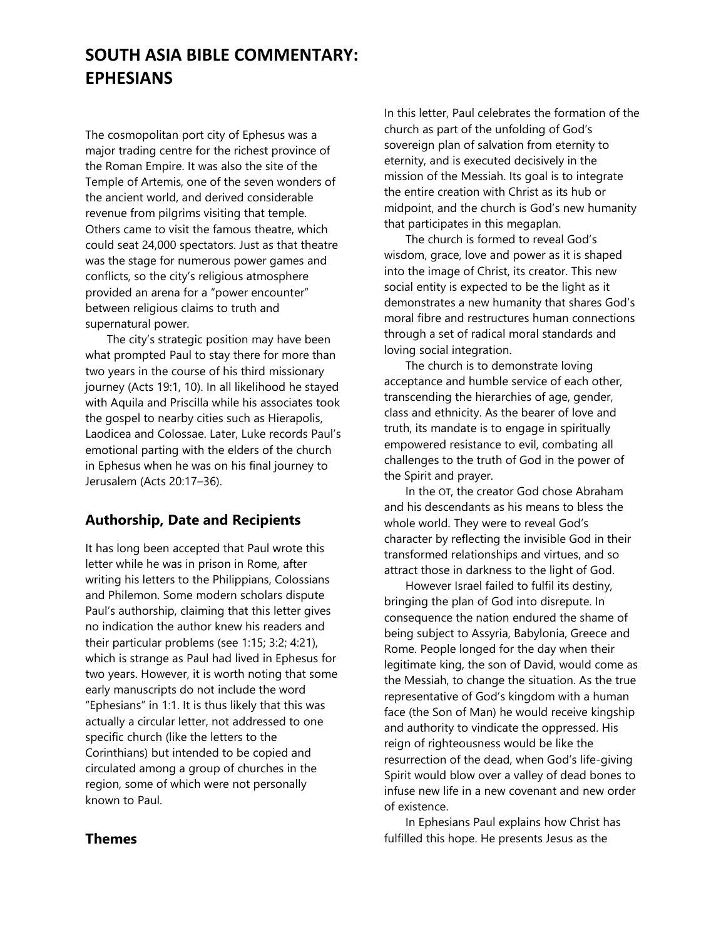# **SOUTH ASIA BIBLE COMMENTARY: EPHESIANS**

The cosmopolitan port city of Ephesus was a major trading centre for the richest province of the Roman Empire. It was also the site of the Temple of Artemis, one of the seven wonders of the ancient world, and derived considerable revenue from pilgrims visiting that temple. Others came to visit the famous theatre, which could seat 24,000 spectators. Just as that theatre was the stage for numerous power games and conflicts, so the city's religious atmosphere provided an arena for a "power encounter" between religious claims to truth and supernatural power.

The city's strategic position may have been what prompted Paul to stay there for more than two years in the course of his third missionary journey (Acts 19:1, 10). In all likelihood he stayed with Aquila and Priscilla while his associates took the gospel to nearby cities such as Hierapolis, Laodicea and Colossae. Later, Luke records Paul's emotional parting with the elders of the church in Ephesus when he was on his final journey to Jerusalem (Acts 20:17–36).

## **Authorship, Date and Recipients**

It has long been accepted that Paul wrote this letter while he was in prison in Rome, after writing his letters to the Philippians, Colossians and Philemon. Some modern scholars dispute Paul's authorship, claiming that this letter gives no indication the author knew his readers and their particular problems (see 1:15; 3:2; 4:21), which is strange as Paul had lived in Ephesus for two years. However, it is worth noting that some early manuscripts do not include the word "Ephesians" in 1:1. It is thus likely that this was actually a circular letter, not addressed to one specific church (like the letters to the Corinthians) but intended to be copied and circulated among a group of churches in the region, some of which were not personally known to Paul.

## **Themes**

In this letter, Paul celebrates the formation of the church as part of the unfolding of God's sovereign plan of salvation from eternity to eternity, and is executed decisively in the mission of the Messiah. Its goal is to integrate the entire creation with Christ as its hub or midpoint, and the church is God's new humanity that participates in this megaplan.

The church is formed to reveal God's wisdom, grace, love and power as it is shaped into the image of Christ, its creator. This new social entity is expected to be the light as it demonstrates a new humanity that shares God's moral fibre and restructures human connections through a set of radical moral standards and loving social integration.

The church is to demonstrate loving acceptance and humble service of each other, transcending the hierarchies of age, gender, class and ethnicity. As the bearer of love and truth, its mandate is to engage in spiritually empowered resistance to evil, combating all challenges to the truth of God in the power of the Spirit and prayer.

In the OT, the creator God chose Abraham and his descendants as his means to bless the whole world. They were to reveal God's character by reflecting the invisible God in their transformed relationships and virtues, and so attract those in darkness to the light of God.

However Israel failed to fulfil its destiny, bringing the plan of God into disrepute. In consequence the nation endured the shame of being subject to Assyria, Babylonia, Greece and Rome. People longed for the day when their legitimate king, the son of David, would come as the Messiah, to change the situation. As the true representative of God's kingdom with a human face (the Son of Man) he would receive kingship and authority to vindicate the oppressed. His reign of righteousness would be like the resurrection of the dead, when God's life-giving Spirit would blow over a valley of dead bones to infuse new life in a new covenant and new order of existence.

In Ephesians Paul explains how Christ has fulfilled this hope. He presents Jesus as the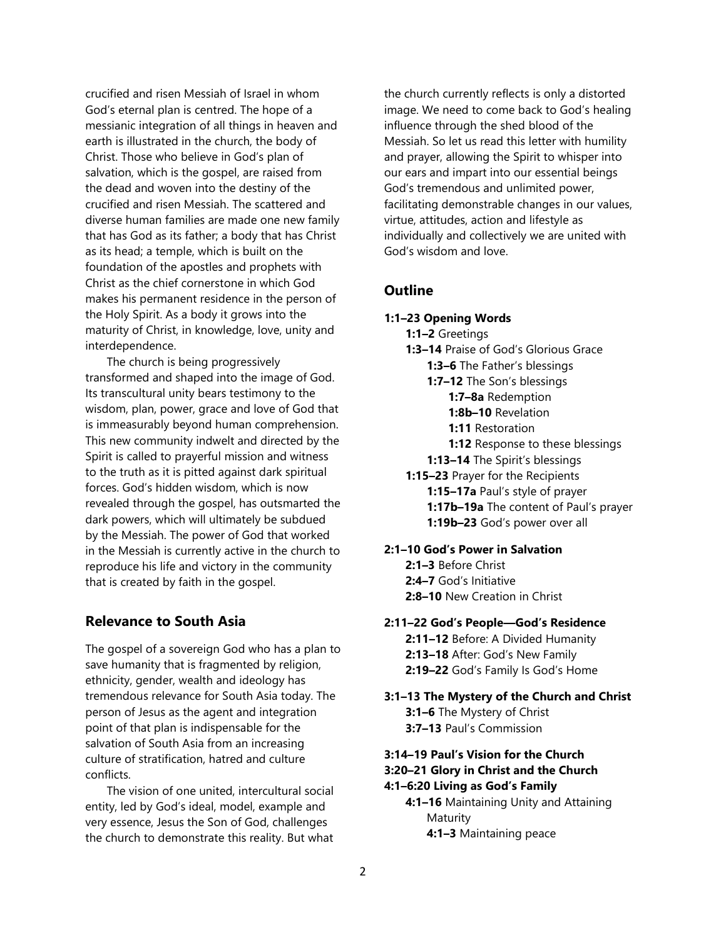crucified and risen Messiah of Israel in whom God's eternal plan is centred. The hope of a messianic integration of all things in heaven and earth is illustrated in the church, the body of Christ. Those who believe in God's plan of salvation, which is the gospel, are raised from the dead and woven into the destiny of the crucified and risen Messiah. The scattered and diverse human families are made one new family that has God as its father; a body that has Christ as its head; a temple, which is built on the foundation of the apostles and prophets with Christ as the chief cornerstone in which God makes his permanent residence in the person of the Holy Spirit. As a body it grows into the maturity of Christ, in knowledge, love, unity and interdependence.

The church is being progressively transformed and shaped into the image of God. Its transcultural unity bears testimony to the wisdom, plan, power, grace and love of God that is immeasurably beyond human comprehension. This new community indwelt and directed by the Spirit is called to prayerful mission and witness to the truth as it is pitted against dark spiritual forces. God's hidden wisdom, which is now revealed through the gospel, has outsmarted the dark powers, which will ultimately be subdued by the Messiah. The power of God that worked in the Messiah is currently active in the church to reproduce his life and victory in the community that is created by faith in the gospel.

## **Relevance to South Asia**

The gospel of a sovereign God who has a plan to save humanity that is fragmented by religion, ethnicity, gender, wealth and ideology has tremendous relevance for South Asia today. The person of Jesus as the agent and integration point of that plan is indispensable for the salvation of South Asia from an increasing culture of stratification, hatred and culture conflicts.

The vision of one united, intercultural social entity, led by God's ideal, model, example and very essence, Jesus the Son of God, challenges the church to demonstrate this reality. But what the church currently reflects is only a distorted image. We need to come back to God's healing influence through the shed blood of the Messiah. So let us read this letter with humility and prayer, allowing the Spirit to whisper into our ears and impart into our essential beings God's tremendous and unlimited power, facilitating demonstrable changes in our values, virtue, attitudes, action and lifestyle as individually and collectively we are united with God's wisdom and love.

## **Outline**

### **1:1–23 Opening Words**

- **1:1–2** Greetings
- **1:3–14** Praise of God's Glorious Grace
	- **1:3–6** The Father's blessings
	- **1:7–12** The Son's blessings
		- **1:7–8a** Redemption
		- **1:8b–10** Revelation
		- **1:11** Restoration
		- **1:12** Response to these blessings
	- **1:13–14** The Spirit's blessings
- **1:15–23** Prayer for the Recipients **1:15–17a** Paul's style of prayer **1:17b–19a** The content of Paul's prayer **1:19b–23** God's power over all

### **2:1–10 God's Power in Salvation**

**2:1–3** Before Christ **2:4–7** God's Initiative **2:8–10** New Creation in Christ

### **2:11–22 God's People—God's Residence**

**2:11–12** Before: A Divided Humanity **2:13–18** After: God's New Family **2:19–22** God's Family Is God's Home

**3:1–13 The Mystery of the Church and Christ 3:1–6** The Mystery of Christ **3:7–13** Paul's Commission

## **3:14–19 Paul's Vision for the Church 3:20–21 Glory in Christ and the Church**

## **4:1–6:20 Living as God's Family**

**4:1–16** Maintaining Unity and Attaining Maturity **4:1–3** Maintaining peace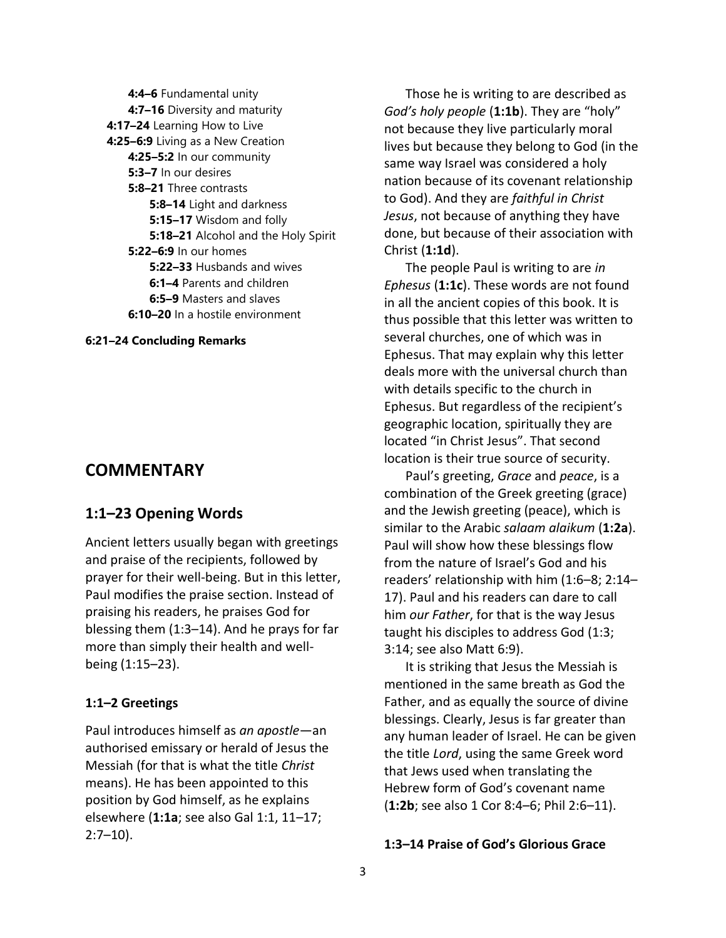**4:4–6** Fundamental unity **4:7–16** Diversity and maturity **4:17–24** Learning How to Live **4:25–6:9** Living as a New Creation **4:25–5:2** In our community **5:3–7** In our desires **5:8–21** Three contrasts **5:8–14** Light and darkness **5:15–17** Wisdom and folly **5:18–21** Alcohol and the Holy Spirit **5:22–6:9** In our homes **5:22–33** Husbands and wives **6:1–4** Parents and children **6:5–9** Masters and slaves **6:10–20** In a hostile environment

#### **6:21–24 Concluding Remarks**

## **COMMENTARY**

## **1:1–23 Opening Words**

Ancient letters usually began with greetings and praise of the recipients, followed by prayer for their well-being. But in this letter, Paul modifies the praise section. Instead of praising his readers, he praises God for blessing them (1:3–14). And he prays for far more than simply their health and wellbeing (1:15–23).

### **1:1–2 Greetings**

Paul introduces himself as *an apostle*—an authorised emissary or herald of Jesus the Messiah (for that is what the title *Christ* means). He has been appointed to this position by God himself, as he explains elsewhere (**1:1a**; see also Gal 1:1, 11–17;  $2:7-10$ ).

Those he is writing to are described as *God's holy people* (**1:1b**). They are "holy" not because they live particularly moral lives but because they belong to God (in the same way Israel was considered a holy nation because of its covenant relationship to God). And they are *faithful in Christ Jesus*, not because of anything they have done, but because of their association with Christ (**1:1d**).

The people Paul is writing to are *in Ephesus* (**1:1c**). These words are not found in all the ancient copies of this book. It is thus possible that this letter was written to several churches, one of which was in Ephesus. That may explain why this letter deals more with the universal church than with details specific to the church in Ephesus. But regardless of the recipient's geographic location, spiritually they are located "in Christ Jesus". That second location is their true source of security.

Paul's greeting, *Grace* and *peace*, is a combination of the Greek greeting (grace) and the Jewish greeting (peace), which is similar to the Arabic *salaam alaikum* (**1:2a**). Paul will show how these blessings flow from the nature of Israel's God and his readers' relationship with him (1:6–8; 2:14– 17). Paul and his readers can dare to call him *our Father*, for that is the way Jesus taught his disciples to address God (1:3; 3:14; see also Matt 6:9).

It is striking that Jesus the Messiah is mentioned in the same breath as God the Father, and as equally the source of divine blessings. Clearly, Jesus is far greater than any human leader of Israel. He can be given the title *Lord*, using the same Greek word that Jews used when translating the Hebrew form of God's covenant name (**1:2b**; see also 1 Cor 8:4–6; Phil 2:6–11).

### **1:3–14 Praise of God's Glorious Grace**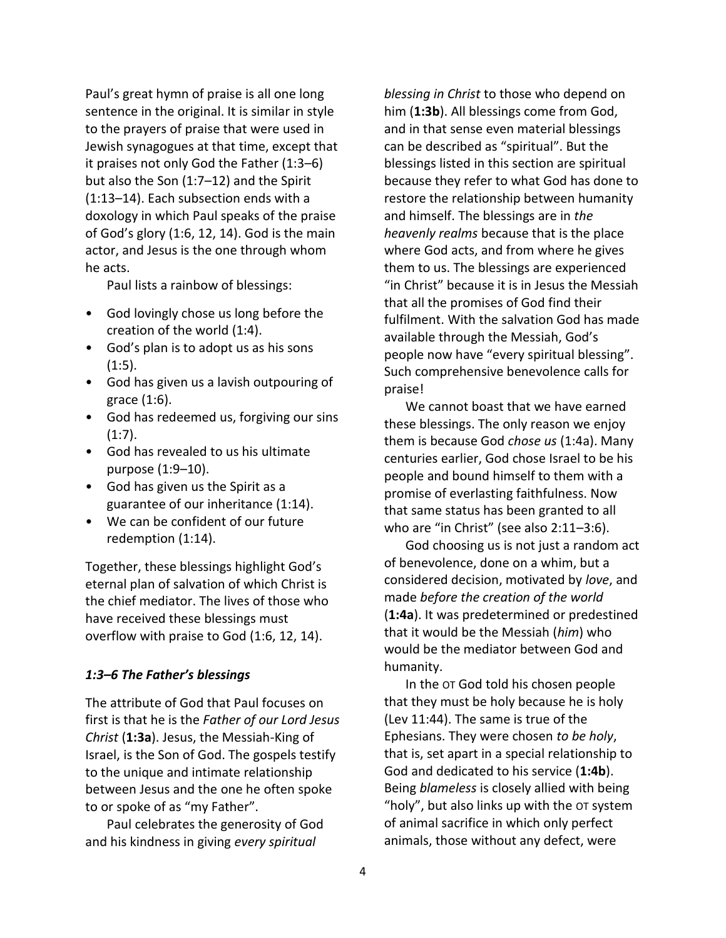Paul's great hymn of praise is all one long sentence in the original. It is similar in style to the prayers of praise that were used in Jewish synagogues at that time, except that it praises not only God the Father (1:3–6) but also the Son (1:7–12) and the Spirit (1:13–14). Each subsection ends with a doxology in which Paul speaks of the praise of God's glory (1:6, 12, 14). God is the main actor, and Jesus is the one through whom he acts.

Paul lists a rainbow of blessings:

- God lovingly chose us long before the creation of the world (1:4).
- God's plan is to adopt us as his sons (1:5).
- God has given us a lavish outpouring of grace (1:6).
- God has redeemed us, forgiving our sins  $(1:7)$ .
- God has revealed to us his ultimate purpose (1:9–10).
- God has given us the Spirit as a guarantee of our inheritance (1:14).
- We can be confident of our future redemption (1:14).

Together, these blessings highlight God's eternal plan of salvation of which Christ is the chief mediator. The lives of those who have received these blessings must overflow with praise to God (1:6, 12, 14).

### *1:3–6 The Father's blessings*

The attribute of God that Paul focuses on first is that he is the *Father of our Lord Jesus Christ* (**1:3a**). Jesus, the Messiah-King of Israel, is the Son of God. The gospels testify to the unique and intimate relationship between Jesus and the one he often spoke to or spoke of as "my Father".

Paul celebrates the generosity of God and his kindness in giving *every spiritual* 

*blessing in Christ* to those who depend on him (**1:3b**). All blessings come from God, and in that sense even material blessings can be described as "spiritual". But the blessings listed in this section are spiritual because they refer to what God has done to restore the relationship between humanity and himself. The blessings are in *the heavenly realms* because that is the place where God acts, and from where he gives them to us. The blessings are experienced "in Christ" because it is in Jesus the Messiah that all the promises of God find their fulfilment. With the salvation God has made available through the Messiah, God's people now have "every spiritual blessing". Such comprehensive benevolence calls for praise!

We cannot boast that we have earned these blessings. The only reason we enjoy them is because God *chose us* (1:4a). Many centuries earlier, God chose Israel to be his people and bound himself to them with a promise of everlasting faithfulness. Now that same status has been granted to all who are "in Christ" (see also 2:11-3:6).

God choosing us is not just a random act of benevolence, done on a whim, but a considered decision, motivated by *love*, and made *before the creation of the world* (**1:4a**). It was predetermined or predestined that it would be the Messiah (*him*) who would be the mediator between God and humanity.

In the OT God told his chosen people that they must be holy because he is holy (Lev 11:44). The same is true of the Ephesians. They were chosen *to be holy*, that is, set apart in a special relationship to God and dedicated to his service (**1:4b**). Being *blameless* is closely allied with being "holy", but also links up with the OT system of animal sacrifice in which only perfect animals, those without any defect, were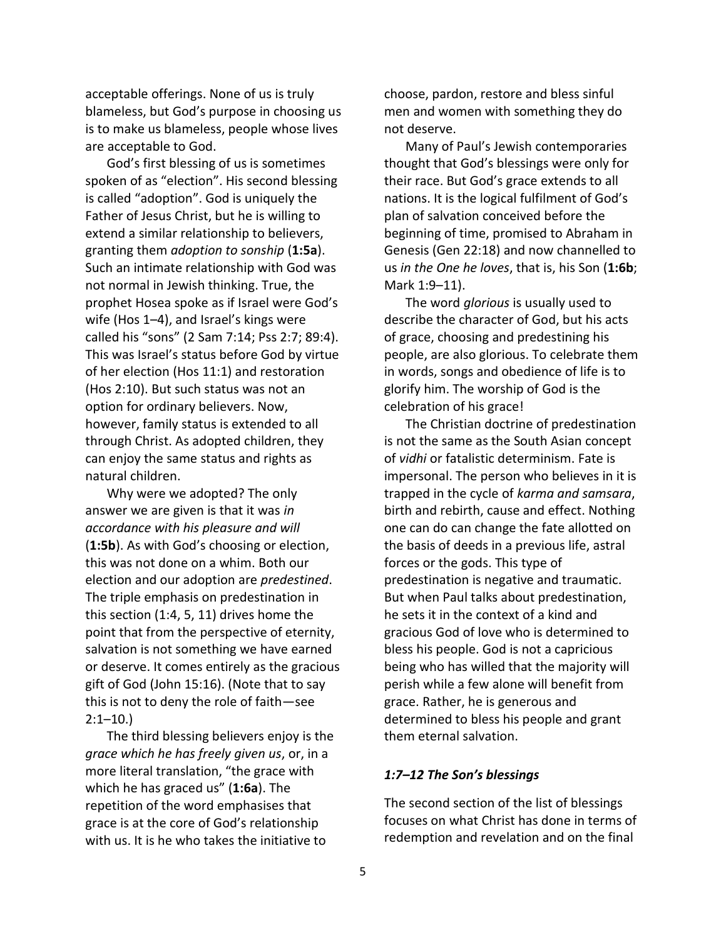acceptable offerings. None of us is truly blameless, but God's purpose in choosing us is to make us blameless, people whose lives are acceptable to God.

God's first blessing of us is sometimes spoken of as "election". His second blessing is called "adoption". God is uniquely the Father of Jesus Christ, but he is willing to extend a similar relationship to believers, granting them *adoption to sonship* (**1:5a**). Such an intimate relationship with God was not normal in Jewish thinking. True, the prophet Hosea spoke as if Israel were God's wife (Hos 1–4), and Israel's kings were called his "sons" (2 Sam 7:14; Pss 2:7; 89:4). This was Israel's status before God by virtue of her election (Hos 11:1) and restoration (Hos 2:10). But such status was not an option for ordinary believers. Now, however, family status is extended to all through Christ. As adopted children, they can enjoy the same status and rights as natural children.

Why were we adopted? The only answer we are given is that it was *in accordance with his pleasure and will* (**1:5b**). As with God's choosing or election, this was not done on a whim. Both our election and our adoption are *predestined*. The triple emphasis on predestination in this section (1:4, 5, 11) drives home the point that from the perspective of eternity, salvation is not something we have earned or deserve. It comes entirely as the gracious gift of God (John 15:16). (Note that to say this is not to deny the role of faith—see  $2:1-10.$ 

The third blessing believers enjoy is the *grace which he has freely given us*, or, in a more literal translation, "the grace with which he has graced us" (**1:6a**). The repetition of the word emphasises that grace is at the core of God's relationship with us. It is he who takes the initiative to

choose, pardon, restore and bless sinful men and women with something they do not deserve.

Many of Paul's Jewish contemporaries thought that God's blessings were only for their race. But God's grace extends to all nations. It is the logical fulfilment of God's plan of salvation conceived before the beginning of time, promised to Abraham in Genesis (Gen 22:18) and now channelled to us *in the One he loves*, that is, his Son (**1:6b**; Mark 1:9–11).

The word *glorious* is usually used to describe the character of God, but his acts of grace, choosing and predestining his people, are also glorious. To celebrate them in words, songs and obedience of life is to glorify him. The worship of God is the celebration of his grace!

The Christian doctrine of predestination is not the same as the South Asian concept of *vidhi* or fatalistic determinism. Fate is impersonal. The person who believes in it is trapped in the cycle of *karma and samsara*, birth and rebirth, cause and effect. Nothing one can do can change the fate allotted on the basis of deeds in a previous life, astral forces or the gods. This type of predestination is negative and traumatic. But when Paul talks about predestination, he sets it in the context of a kind and gracious God of love who is determined to bless his people. God is not a capricious being who has willed that the majority will perish while a few alone will benefit from grace. Rather, he is generous and determined to bless his people and grant them eternal salvation.

### *1:7–12 The Son's blessings*

The second section of the list of blessings focuses on what Christ has done in terms of redemption and revelation and on the final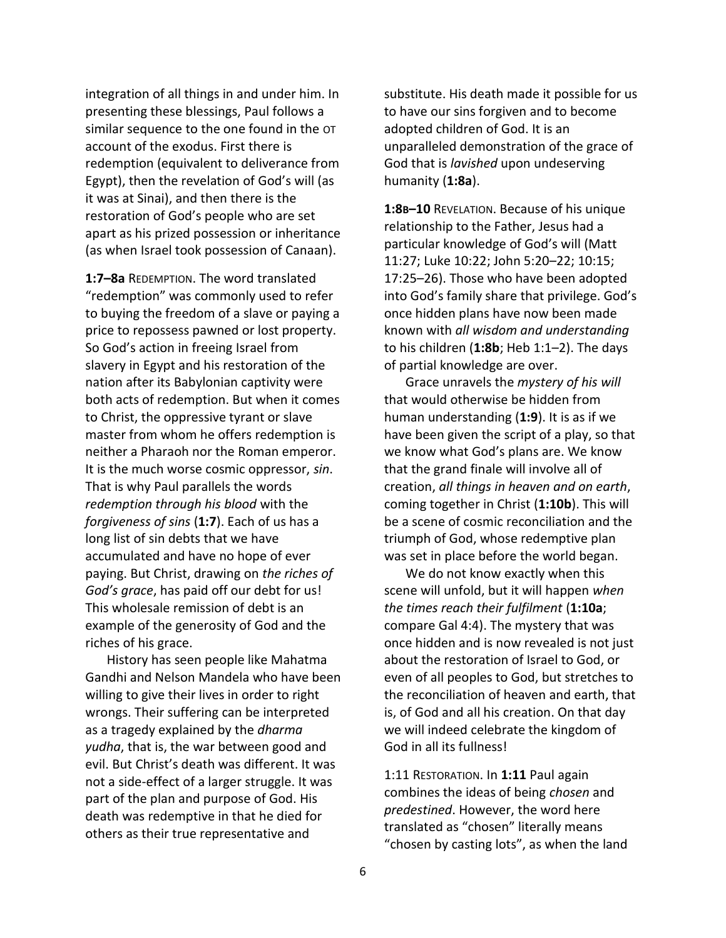integration of all things in and under him. In presenting these blessings, Paul follows a similar sequence to the one found in the OT account of the exodus. First there is redemption (equivalent to deliverance from Egypt), then the revelation of God's will (as it was at Sinai), and then there is the restoration of God's people who are set apart as his prized possession or inheritance (as when Israel took possession of Canaan).

**1:7–8a** REDEMPTION. The word translated "redemption" was commonly used to refer to buying the freedom of a slave or paying a price to repossess pawned or lost property. So God's action in freeing Israel from slavery in Egypt and his restoration of the nation after its Babylonian captivity were both acts of redemption. But when it comes to Christ, the oppressive tyrant or slave master from whom he offers redemption is neither a Pharaoh nor the Roman emperor. It is the much worse cosmic oppressor, *sin*. That is why Paul parallels the words *redemption through his blood* with the *forgiveness of sins* (**1:7**). Each of us has a long list of sin debts that we have accumulated and have no hope of ever paying. But Christ, drawing on *the riches of God's grace*, has paid off our debt for us! This wholesale remission of debt is an example of the generosity of God and the riches of his grace.

History has seen people like Mahatma Gandhi and Nelson Mandela who have been willing to give their lives in order to right wrongs. Their suffering can be interpreted as a tragedy explained by the *dharma yudha*, that is, the war between good and evil. But Christ's death was different. It was not a side-effect of a larger struggle. It was part of the plan and purpose of God. His death was redemptive in that he died for others as their true representative and

substitute. His death made it possible for us to have our sins forgiven and to become adopted children of God. It is an unparalleled demonstration of the grace of God that is *lavished* upon undeserving humanity (**1:8a**).

**1:8B–10** REVELATION. Because of his unique relationship to the Father, Jesus had a particular knowledge of God's will (Matt 11:27; Luke 10:22; John 5:20–22; 10:15; 17:25–26). Those who have been adopted into God's family share that privilege. God's once hidden plans have now been made known with *all wisdom and understanding* to his children (**1:8b**; Heb 1:1–2). The days of partial knowledge are over.

Grace unravels the *mystery of his will* that would otherwise be hidden from human understanding (**1:9**). It is as if we have been given the script of a play, so that we know what God's plans are. We know that the grand finale will involve all of creation, *all things in heaven and on earth*, coming together in Christ (**1:10b**). This will be a scene of cosmic reconciliation and the triumph of God, whose redemptive plan was set in place before the world began.

We do not know exactly when this scene will unfold, but it will happen *when the times reach their fulfilment* (**1:10a**; compare Gal 4:4). The mystery that was once hidden and is now revealed is not just about the restoration of Israel to God, or even of all peoples to God, but stretches to the reconciliation of heaven and earth, that is, of God and all his creation. On that day we will indeed celebrate the kingdom of God in all its fullness!

1:11 RESTORATION. In **1:11** Paul again combines the ideas of being *chosen* and *predestined*. However, the word here translated as "chosen" literally means "chosen by casting lots", as when the land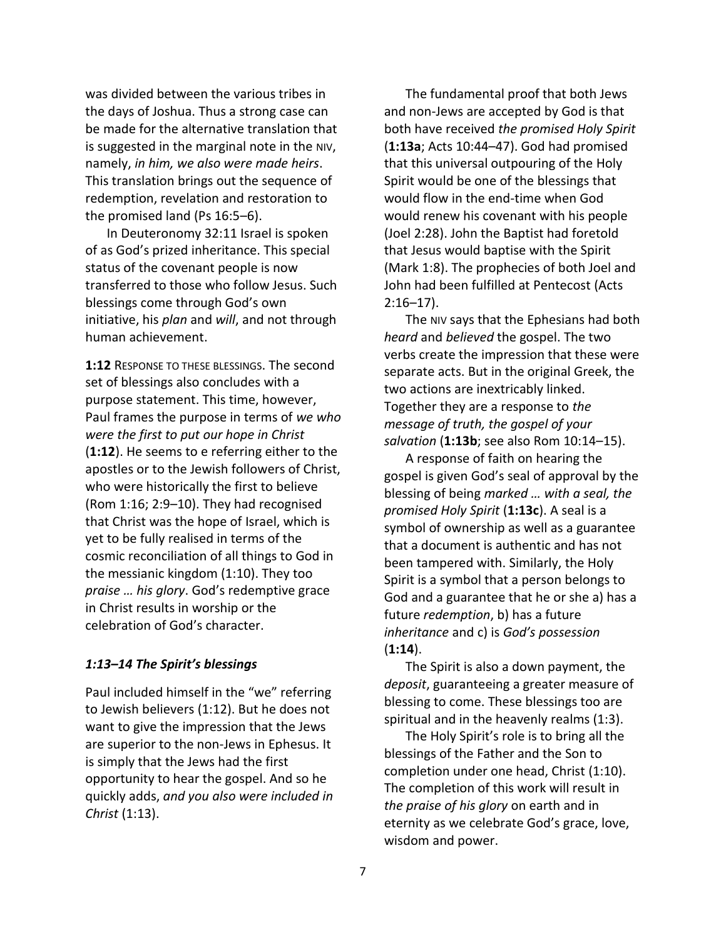was divided between the various tribes in the days of Joshua. Thus a strong case can be made for the alternative translation that is suggested in the marginal note in the NIV, namely, *in him, we also were made heirs*. This translation brings out the sequence of redemption, revelation and restoration to the promised land (Ps 16:5–6).

In Deuteronomy 32:11 Israel is spoken of as God's prized inheritance. This special status of the covenant people is now transferred to those who follow Jesus. Such blessings come through God's own initiative, his *plan* and *will*, and not through human achievement.

**1:12** RESPONSE TO THESE BLESSINGS. The second set of blessings also concludes with a purpose statement. This time, however, Paul frames the purpose in terms of *we who were the first to put our hope in Christ* (**1:12**). He seems to e referring either to the apostles or to the Jewish followers of Christ, who were historically the first to believe (Rom 1:16; 2:9–10). They had recognised that Christ was the hope of Israel, which is yet to be fully realised in terms of the cosmic reconciliation of all things to God in the messianic kingdom (1:10). They too *praise … his glory*. God's redemptive grace in Christ results in worship or the celebration of God's character.

### *1:13–14 The Spirit's blessings*

Paul included himself in the "we" referring to Jewish believers (1:12). But he does not want to give the impression that the Jews are superior to the non-Jews in Ephesus. It is simply that the Jews had the first opportunity to hear the gospel. And so he quickly adds, *and you also were included in Christ* (1:13).

The fundamental proof that both Jews and non-Jews are accepted by God is that both have received *the promised Holy Spirit* (**1:13a**; Acts 10:44–47). God had promised that this universal outpouring of the Holy Spirit would be one of the blessings that would flow in the end-time when God would renew his covenant with his people (Joel 2:28). John the Baptist had foretold that Jesus would baptise with the Spirit (Mark 1:8). The prophecies of both Joel and John had been fulfilled at Pentecost (Acts  $2:16-17$ ).

The NIV says that the Ephesians had both *heard* and *believed* the gospel. The two verbs create the impression that these were separate acts. But in the original Greek, the two actions are inextricably linked. Together they are a response to *the message of truth, the gospel of your salvation* (**1:13b**; see also Rom 10:14–15).

A response of faith on hearing the gospel is given God's seal of approval by the blessing of being *marked … with a seal, the promised Holy Spirit* (**1:13c**). A seal is a symbol of ownership as well as a guarantee that a document is authentic and has not been tampered with. Similarly, the Holy Spirit is a symbol that a person belongs to God and a guarantee that he or she a) has a future *redemption*, b) has a future *inheritance* and c) is *God's possession* (**1:14**).

The Spirit is also a down payment, the *deposit*, guaranteeing a greater measure of blessing to come. These blessings too are spiritual and in the heavenly realms (1:3).

The Holy Spirit's role is to bring all the blessings of the Father and the Son to completion under one head, Christ (1:10). The completion of this work will result in *the praise of his glory* on earth and in eternity as we celebrate God's grace, love, wisdom and power.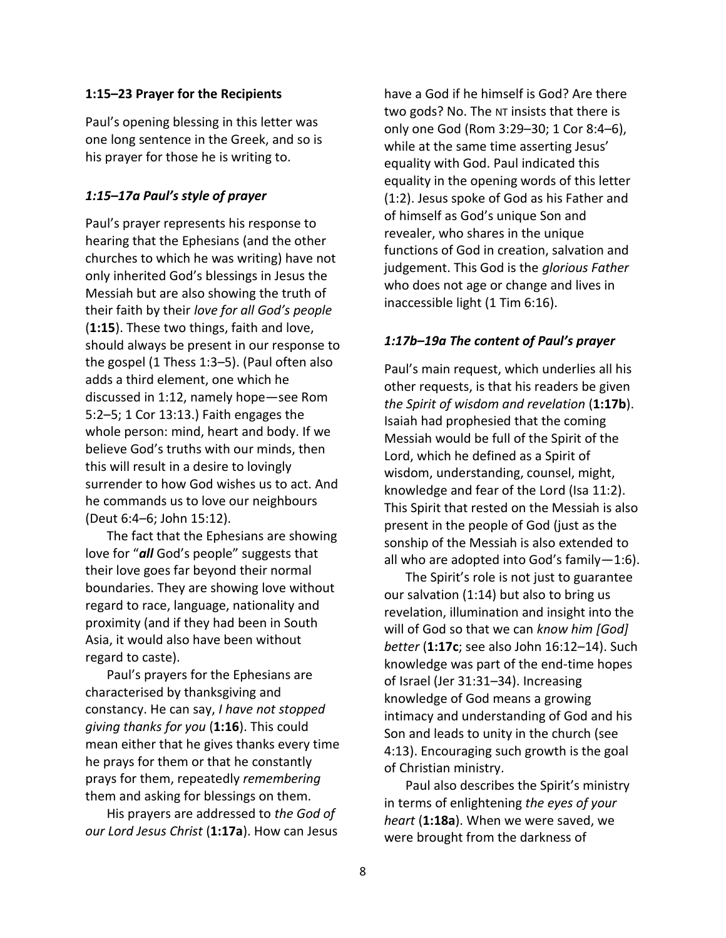### **1:15–23 Prayer for the Recipients**

Paul's opening blessing in this letter was one long sentence in the Greek, and so is his prayer for those he is writing to.

### *1:15–17a Paul's style of prayer*

Paul's prayer represents his response to hearing that the Ephesians (and the other churches to which he was writing) have not only inherited God's blessings in Jesus the Messiah but are also showing the truth of their faith by their *love for all God's people* (**1:15**). These two things, faith and love, should always be present in our response to the gospel (1 Thess 1:3–5). (Paul often also adds a third element, one which he discussed in 1:12, namely hope—see Rom 5:2–5; 1 Cor 13:13.) Faith engages the whole person: mind, heart and body. If we believe God's truths with our minds, then this will result in a desire to lovingly surrender to how God wishes us to act. And he commands us to love our neighbours (Deut 6:4–6; John 15:12).

The fact that the Ephesians are showing love for "*all* God's people" suggests that their love goes far beyond their normal boundaries. They are showing love without regard to race, language, nationality and proximity (and if they had been in South Asia, it would also have been without regard to caste).

Paul's prayers for the Ephesians are characterised by thanksgiving and constancy. He can say, *I have not stopped giving thanks for you* (**1:16**). This could mean either that he gives thanks every time he prays for them or that he constantly prays for them, repeatedly *remembering* them and asking for blessings on them.

His prayers are addressed to *the God of our Lord Jesus Christ* (**1:17a**). How can Jesus

have a God if he himself is God? Are there two gods? No. The NT insists that there is only one God (Rom 3:29–30; 1 Cor 8:4–6), while at the same time asserting Jesus' equality with God. Paul indicated this equality in the opening words of this letter (1:2). Jesus spoke of God as his Father and of himself as God's unique Son and revealer, who shares in the unique functions of God in creation, salvation and judgement. This God is the *glorious Father* who does not age or change and lives in inaccessible light (1 Tim 6:16).

#### *1:17b–19a The content of Paul's prayer*

Paul's main request, which underlies all his other requests, is that his readers be given *the Spirit of wisdom and revelation* (**1:17b**). Isaiah had prophesied that the coming Messiah would be full of the Spirit of the Lord, which he defined as a Spirit of wisdom, understanding, counsel, might, knowledge and fear of the Lord (Isa 11:2). This Spirit that rested on the Messiah is also present in the people of God (just as the sonship of the Messiah is also extended to all who are adopted into God's family—1:6).

The Spirit's role is not just to guarantee our salvation (1:14) but also to bring us revelation, illumination and insight into the will of God so that we can *know him [God] better* (**1:17c**; see also John 16:12–14). Such knowledge was part of the end-time hopes of Israel (Jer 31:31–34). Increasing knowledge of God means a growing intimacy and understanding of God and his Son and leads to unity in the church (see 4:13). Encouraging such growth is the goal of Christian ministry.

Paul also describes the Spirit's ministry in terms of enlightening *the eyes of your heart* (**1:18a**). When we were saved, we were brought from the darkness of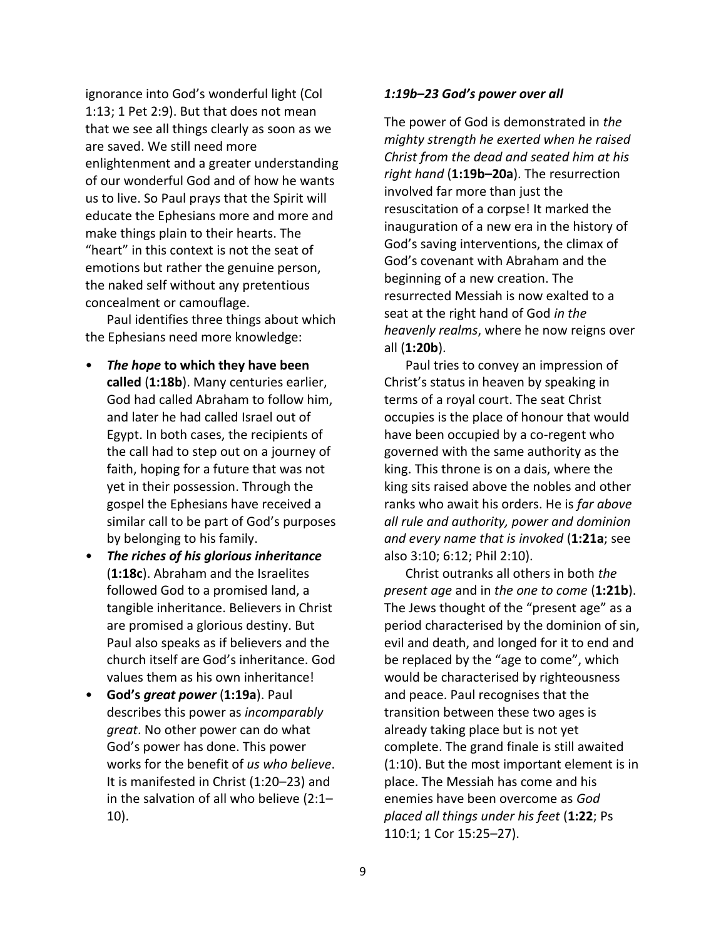ignorance into God's wonderful light (Col 1:13; 1 Pet 2:9). But that does not mean that we see all things clearly as soon as we are saved. We still need more enlightenment and a greater understanding of our wonderful God and of how he wants us to live. So Paul prays that the Spirit will educate the Ephesians more and more and make things plain to their hearts. The "heart" in this context is not the seat of emotions but rather the genuine person, the naked self without any pretentious concealment or camouflage.

Paul identifies three things about which the Ephesians need more knowledge:

- *The hope* **to which they have been called** (**1:18b**). Many centuries earlier, God had called Abraham to follow him, and later he had called Israel out of Egypt. In both cases, the recipients of the call had to step out on a journey of faith, hoping for a future that was not yet in their possession. Through the gospel the Ephesians have received a similar call to be part of God's purposes by belonging to his family.
- *The riches of his glorious inheritance* (**1:18c**). Abraham and the Israelites followed God to a promised land, a tangible inheritance. Believers in Christ are promised a glorious destiny. But Paul also speaks as if believers and the church itself are God's inheritance. God values them as his own inheritance!
- **God's** *great power* (**1:19a**). Paul describes this power as *incomparably great*. No other power can do what God's power has done. This power works for the benefit of *us who believe*. It is manifested in Christ (1:20–23) and in the salvation of all who believe (2:1– 10).

### *1:19b–23 God's power over all*

The power of God is demonstrated in *the mighty strength he exerted when he raised Christ from the dead and seated him at his right hand* (**1:19b–20a**). The resurrection involved far more than just the resuscitation of a corpse! It marked the inauguration of a new era in the history of God's saving interventions, the climax of God's covenant with Abraham and the beginning of a new creation. The resurrected Messiah is now exalted to a seat at the right hand of God *in the heavenly realms*, where he now reigns over all (**1:20b**).

Paul tries to convey an impression of Christ's status in heaven by speaking in terms of a royal court. The seat Christ occupies is the place of honour that would have been occupied by a co-regent who governed with the same authority as the king. This throne is on a dais, where the king sits raised above the nobles and other ranks who await his orders. He is *far above all rule and authority, power and dominion and every name that is invoked* (**1:21a**; see also 3:10; 6:12; Phil 2:10).

Christ outranks all others in both *the present age* and in *the one to come* (**1:21b**). The Jews thought of the "present age" as a period characterised by the dominion of sin, evil and death, and longed for it to end and be replaced by the "age to come", which would be characterised by righteousness and peace. Paul recognises that the transition between these two ages is already taking place but is not yet complete. The grand finale is still awaited (1:10). But the most important element is in place. The Messiah has come and his enemies have been overcome as *God placed all things under his feet* (**1:22**; Ps 110:1; 1 Cor 15:25–27).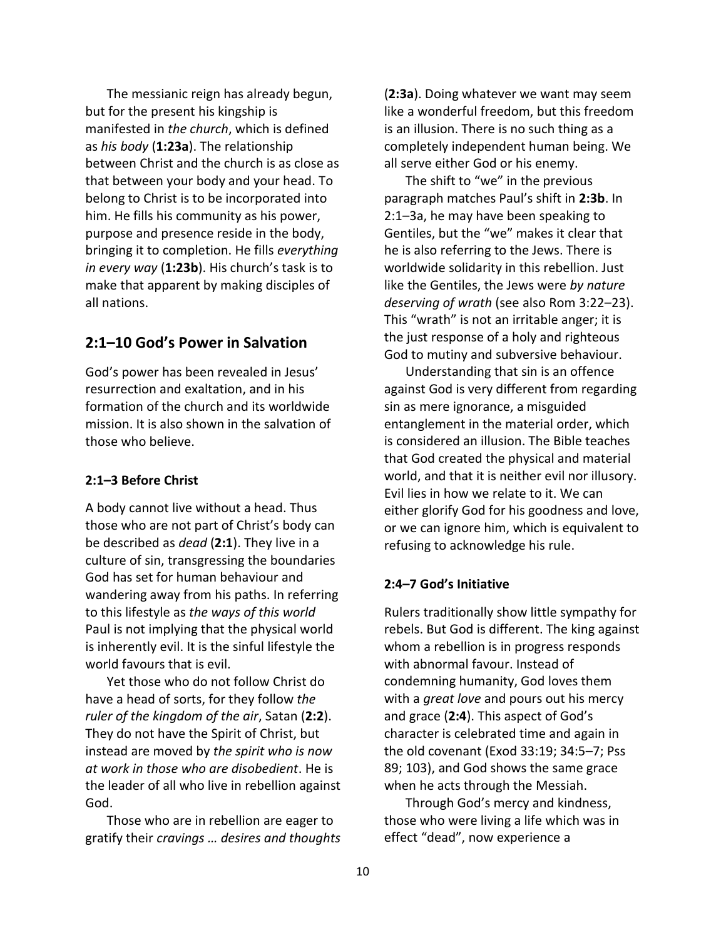The messianic reign has already begun, but for the present his kingship is manifested in *the church*, which is defined as *his body* (**1:23a**). The relationship between Christ and the church is as close as that between your body and your head. To belong to Christ is to be incorporated into him. He fills his community as his power, purpose and presence reside in the body, bringing it to completion. He fills *everything in every way* (**1:23b**). His church's task is to make that apparent by making disciples of all nations.

## **2:1–10 God's Power in Salvation**

God's power has been revealed in Jesus' resurrection and exaltation, and in his formation of the church and its worldwide mission. It is also shown in the salvation of those who believe.

### **2:1–3 Before Christ**

A body cannot live without a head. Thus those who are not part of Christ's body can be described as *dead* (**2:1**). They live in a culture of sin, transgressing the boundaries God has set for human behaviour and wandering away from his paths. In referring to this lifestyle as *the ways of this world* Paul is not implying that the physical world is inherently evil. It is the sinful lifestyle the world favours that is evil.

Yet those who do not follow Christ do have a head of sorts, for they follow *the ruler of the kingdom of the air*, Satan (**2:2**). They do not have the Spirit of Christ, but instead are moved by *the spirit who is now at work in those who are disobedient*. He is the leader of all who live in rebellion against God.

Those who are in rebellion are eager to gratify their *cravings … desires and thoughts* (**2:3a**). Doing whatever we want may seem like a wonderful freedom, but this freedom is an illusion. There is no such thing as a completely independent human being. We all serve either God or his enemy.

The shift to "we" in the previous paragraph matches Paul's shift in **2:3b**. In 2:1–3a, he may have been speaking to Gentiles, but the "we" makes it clear that he is also referring to the Jews. There is worldwide solidarity in this rebellion. Just like the Gentiles, the Jews were *by nature deserving of wrath* (see also Rom 3:22–23). This "wrath" is not an irritable anger; it is the just response of a holy and righteous God to mutiny and subversive behaviour.

Understanding that sin is an offence against God is very different from regarding sin as mere ignorance, a misguided entanglement in the material order, which is considered an illusion. The Bible teaches that God created the physical and material world, and that it is neither evil nor illusory. Evil lies in how we relate to it. We can either glorify God for his goodness and love, or we can ignore him, which is equivalent to refusing to acknowledge his rule.

### **2:4–7 God's Initiative**

Rulers traditionally show little sympathy for rebels. But God is different. The king against whom a rebellion is in progress responds with abnormal favour. Instead of condemning humanity, God loves them with a *great love* and pours out his mercy and grace (**2:4**). This aspect of God's character is celebrated time and again in the old covenant (Exod 33:19; 34:5–7; Pss 89; 103), and God shows the same grace when he acts through the Messiah.

Through God's mercy and kindness, those who were living a life which was in effect "dead", now experience a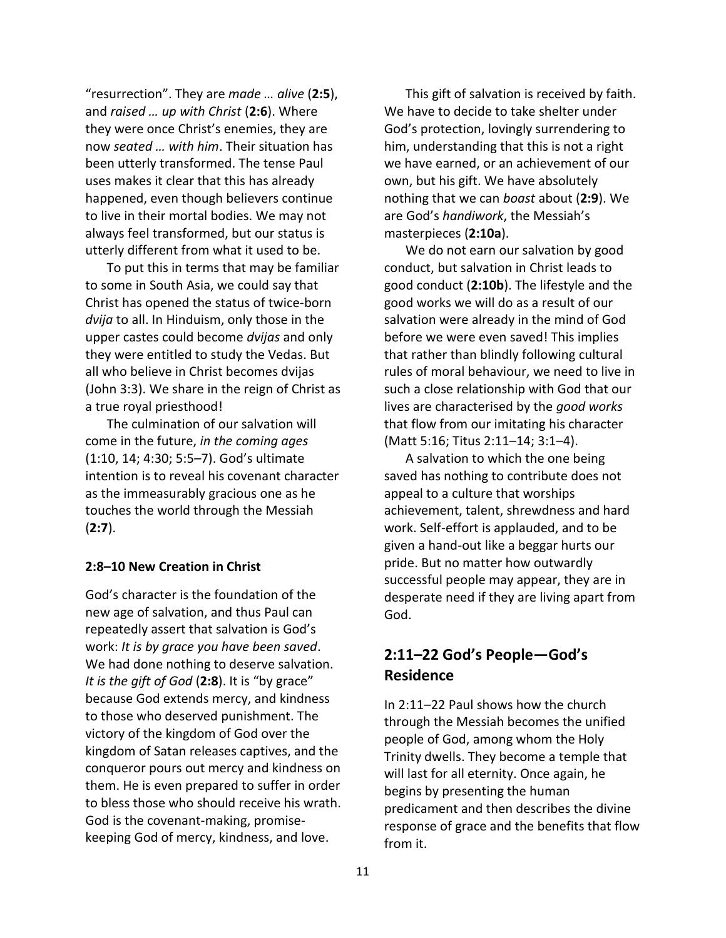"resurrection". They are *made … alive* (**2:5**), and *raised … up with Christ* (**2:6**). Where they were once Christ's enemies, they are now *seated … with him*. Their situation has been utterly transformed. The tense Paul uses makes it clear that this has already happened, even though believers continue to live in their mortal bodies. We may not always feel transformed, but our status is utterly different from what it used to be.

To put this in terms that may be familiar to some in South Asia, we could say that Christ has opened the status of twice-born *dvija* to all. In Hinduism, only those in the upper castes could become *dvijas* and only they were entitled to study the Vedas. But all who believe in Christ becomes dvijas (John 3:3). We share in the reign of Christ as a true royal priesthood!

The culmination of our salvation will come in the future, *in the coming ages* (1:10, 14; 4:30; 5:5–7). God's ultimate intention is to reveal his covenant character as the immeasurably gracious one as he touches the world through the Messiah (**2:7**).

### **2:8–10 New Creation in Christ**

God's character is the foundation of the new age of salvation, and thus Paul can repeatedly assert that salvation is God's work: *It is by grace you have been saved*. We had done nothing to deserve salvation. *It is the gift of God* (**2:8**). It is "by grace" because God extends mercy, and kindness to those who deserved punishment. The victory of the kingdom of God over the kingdom of Satan releases captives, and the conqueror pours out mercy and kindness on them. He is even prepared to suffer in order to bless those who should receive his wrath. God is the covenant-making, promisekeeping God of mercy, kindness, and love.

This gift of salvation is received by faith. We have to decide to take shelter under God's protection, lovingly surrendering to him, understanding that this is not a right we have earned, or an achievement of our own, but his gift. We have absolutely nothing that we can *boast* about (**2:9**). We are God's *handiwork*, the Messiah's masterpieces (**2:10a**).

We do not earn our salvation by good conduct, but salvation in Christ leads to good conduct (**2:10b**). The lifestyle and the good works we will do as a result of our salvation were already in the mind of God before we were even saved! This implies that rather than blindly following cultural rules of moral behaviour, we need to live in such a close relationship with God that our lives are characterised by the *good works* that flow from our imitating his character (Matt 5:16; Titus 2:11–14; 3:1–4).

A salvation to which the one being saved has nothing to contribute does not appeal to a culture that worships achievement, talent, shrewdness and hard work. Self-effort is applauded, and to be given a hand-out like a beggar hurts our pride. But no matter how outwardly successful people may appear, they are in desperate need if they are living apart from God.

## **2:11–22 God's People—God's Residence**

In 2:11–22 Paul shows how the church through the Messiah becomes the unified people of God, among whom the Holy Trinity dwells. They become a temple that will last for all eternity. Once again, he begins by presenting the human predicament and then describes the divine response of grace and the benefits that flow from it.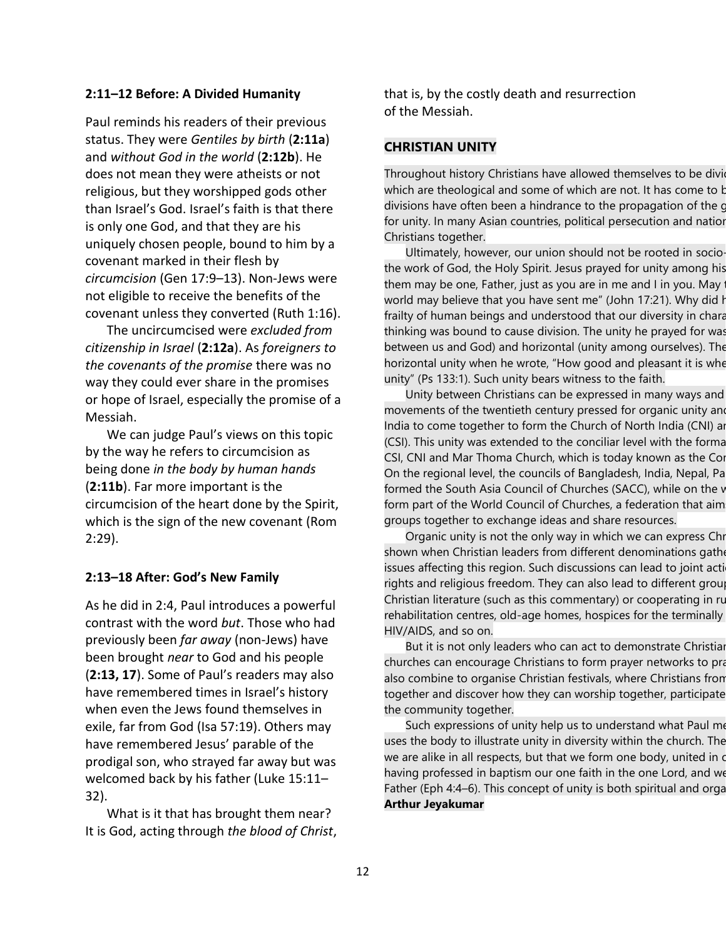### **2:11–12 Before: A Divided Humanity**

Paul reminds his readers of their previous status. They were *Gentiles by birth* (**2:11a**) and *without God in the world* (**2:12b**). He does not mean they were atheists or not religious, but they worshipped gods other than Israel's God. Israel's faith is that there is only one God, and that they are his uniquely chosen people, bound to him by a covenant marked in their flesh by *circumcision* (Gen 17:9–13). Non-Jews were not eligible to receive the benefits of the covenant unless they converted (Ruth 1:16).

The uncircumcised were *excluded from citizenship in Israel* (**2:12a**). As *foreigners to the covenants of the promise* there was no way they could ever share in the promises or hope of Israel, especially the promise of a Messiah.

We can judge Paul's views on this topic by the way he refers to circumcision as being done *in the body by human hands* (**2:11b**). Far more important is the circumcision of the heart done by the Spirit, which is the sign of the new covenant (Rom 2:29).

### **2:13–18 After: God's New Family**

As he did in 2:4, Paul introduces a powerful contrast with the word *but*. Those who had previously been *far away* (non-Jews) have been brought *near* to God and his people (**2:13, 17**). Some of Paul's readers may also have remembered times in Israel's history when even the Jews found themselves in exile, far from God (Isa 57:19). Others may have remembered Jesus' parable of the prodigal son, who strayed far away but was welcomed back by his father (Luke 15:11– 32).

What is it that has brought them near? It is God, acting through *the blood of Christ*, that is, by the costly death and resurrection of the Messiah.

### **CHRISTIAN UNITY**

Throughout history Christians have allowed themselves to be divid which are theological and some of which are not. It has come to b divisions have often been a hindrance to the propagation of the c for unity. In many Asian countries, political persecution and natior Christians together.

Ultimately, however, our union should not be rooted in sociothe work of God, the Holy Spirit. Jesus prayed for unity among his them may be one, Father, just as you are in me and I in you. May world may believe that you have sent me" (John 17:21). Why did h frailty of human beings and understood that our diversity in chara thinking was bound to cause division. The unity he prayed for was between us and God) and horizontal (unity among ourselves). The horizontal unity when he wrote, "How good and pleasant it is whe unity" (Ps 133:1). Such unity bears witness to the faith.

Unity between Christians can be expressed in many ways and movements of the twentieth century pressed for organic unity and India to come together to form the Church of North India (CNI) and (CSI). This unity was extended to the conciliar level with the forma CSI, CNI and Mar Thoma Church, which is today known as the Cor On the regional level, the councils of Bangladesh, India, Nepal, Pa formed the South Asia Council of Churches (SACC), while on the v form part of the World Council of Churches, a federation that aim groups together to exchange ideas and share resources.

Organic unity is not the only way in which we can express Chr shown when Christian leaders from different denominations gather issues affecting this region. Such discussions can lead to joint acti rights and religious freedom. They can also lead to different group Christian literature (such as this commentary) or cooperating in ru rehabilitation centres, old-age homes, hospices for the terminally HIV/AIDS, and so on.

But it is not only leaders who can act to demonstrate Christiaı churches can encourage Christians to form prayer networks to pra also combine to organise Christian festivals, where Christians fron together and discover how they can worship together, participate the community together.

Such expressions of unity help us to understand what Paul me uses the body to illustrate unity in diversity within the church. The we are alike in all respects, but that we form one body, united in on having professed in baptism our one faith in the one Lord, and we Father (Eph 4:4–6). This concept of unity is both spiritual and orga **Arthur Jeyakumar**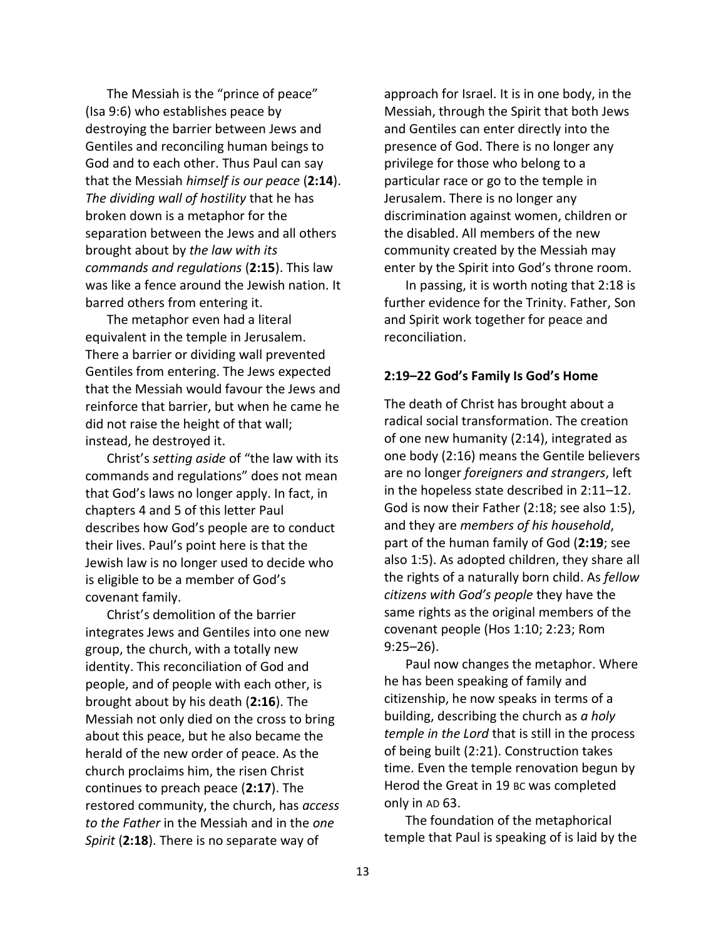The Messiah is the "prince of peace" (Isa 9:6) who establishes peace by destroying the barrier between Jews and Gentiles and reconciling human beings to God and to each other. Thus Paul can say that the Messiah *himself is our peace* (**2:14**). *The dividing wall of hostility* that he has broken down is a metaphor for the separation between the Jews and all others brought about by *the law with its commands and regulations* (**2:15**). This law was like a fence around the Jewish nation. It barred others from entering it.

The metaphor even had a literal equivalent in the temple in Jerusalem. There a barrier or dividing wall prevented Gentiles from entering. The Jews expected that the Messiah would favour the Jews and reinforce that barrier, but when he came he did not raise the height of that wall; instead, he destroyed it.

Christ's *setting aside* of "the law with its commands and regulations" does not mean that God's laws no longer apply. In fact, in chapters 4 and 5 of this letter Paul describes how God's people are to conduct their lives. Paul's point here is that the Jewish law is no longer used to decide who is eligible to be a member of God's covenant family.

Christ's demolition of the barrier integrates Jews and Gentiles into one new group, the church, with a totally new identity. This reconciliation of God and people, and of people with each other, is brought about by his death (**2:16**). The Messiah not only died on the cross to bring about this peace, but he also became the herald of the new order of peace. As the church proclaims him, the risen Christ continues to preach peace (**2:17**). The restored community, the church, has *access to the Father* in the Messiah and in the *one Spirit* (**2:18**). There is no separate way of

approach for Israel. It is in one body, in the Messiah, through the Spirit that both Jews and Gentiles can enter directly into the presence of God. There is no longer any privilege for those who belong to a particular race or go to the temple in Jerusalem. There is no longer any discrimination against women, children or the disabled. All members of the new community created by the Messiah may enter by the Spirit into God's throne room.

In passing, it is worth noting that 2:18 is further evidence for the Trinity. Father, Son and Spirit work together for peace and reconciliation.

### **2:19–22 God's Family Is God's Home**

The death of Christ has brought about a radical social transformation. The creation of one new humanity (2:14), integrated as one body (2:16) means the Gentile believers are no longer *foreigners and strangers*, left in the hopeless state described in 2:11–12. God is now their Father (2:18; see also 1:5), and they are *members of his household*, part of the human family of God (**2:19**; see also 1:5). As adopted children, they share all the rights of a naturally born child. As *fellow citizens with God's people* they have the same rights as the original members of the covenant people (Hos 1:10; 2:23; Rom 9:25–26).

Paul now changes the metaphor. Where he has been speaking of family and citizenship, he now speaks in terms of a building, describing the church as *a holy temple in the Lord* that is still in the process of being built (2:21). Construction takes time. Even the temple renovation begun by Herod the Great in 19 BC was completed only in AD 63.

The foundation of the metaphorical temple that Paul is speaking of is laid by the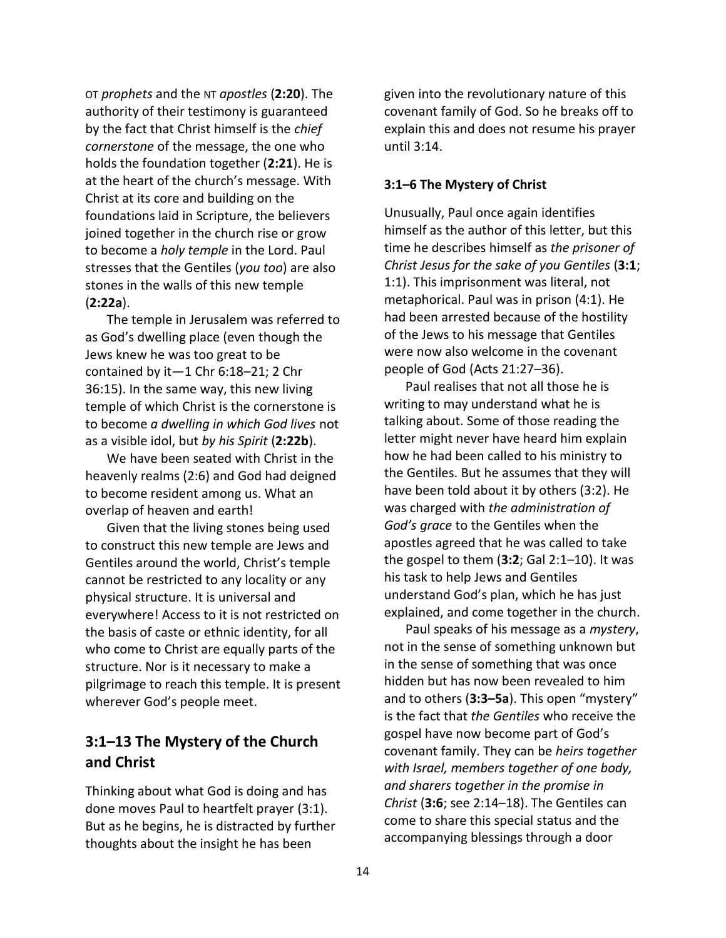OT *prophets* and the NT *apostles* (**2:20**). The authority of their testimony is guaranteed by the fact that Christ himself is the *chief cornerstone* of the message, the one who holds the foundation together (**2:21**). He is at the heart of the church's message. With Christ at its core and building on the foundations laid in Scripture, the believers joined together in the church rise or grow to become a *holy temple* in the Lord. Paul stresses that the Gentiles (*you too*) are also stones in the walls of this new temple (**2:22a**).

The temple in Jerusalem was referred to as God's dwelling place (even though the Jews knew he was too great to be contained by it—1 Chr 6:18–21; 2 Chr 36:15). In the same way, this new living temple of which Christ is the cornerstone is to become *a dwelling in which God lives* not as a visible idol, but *by his Spirit* (**2:22b**).

We have been seated with Christ in the heavenly realms (2:6) and God had deigned to become resident among us. What an overlap of heaven and earth!

Given that the living stones being used to construct this new temple are Jews and Gentiles around the world, Christ's temple cannot be restricted to any locality or any physical structure. It is universal and everywhere! Access to it is not restricted on the basis of caste or ethnic identity, for all who come to Christ are equally parts of the structure. Nor is it necessary to make a pilgrimage to reach this temple. It is present wherever God's people meet.

## **3:1–13 The Mystery of the Church and Christ**

Thinking about what God is doing and has done moves Paul to heartfelt prayer (3:1). But as he begins, he is distracted by further thoughts about the insight he has been

given into the revolutionary nature of this covenant family of God. So he breaks off to explain this and does not resume his prayer until 3:14.

### **3:1–6 The Mystery of Christ**

Unusually, Paul once again identifies himself as the author of this letter, but this time he describes himself as *the prisoner of Christ Jesus for the sake of you Gentiles* (**3:1**; 1:1). This imprisonment was literal, not metaphorical. Paul was in prison (4:1). He had been arrested because of the hostility of the Jews to his message that Gentiles were now also welcome in the covenant people of God (Acts 21:27–36).

Paul realises that not all those he is writing to may understand what he is talking about. Some of those reading the letter might never have heard him explain how he had been called to his ministry to the Gentiles. But he assumes that they will have been told about it by others (3:2). He was charged with *the administration of God's grace* to the Gentiles when the apostles agreed that he was called to take the gospel to them (**3:2**; Gal 2:1–10). It was his task to help Jews and Gentiles understand God's plan, which he has just explained, and come together in the church.

Paul speaks of his message as a *mystery*, not in the sense of something unknown but in the sense of something that was once hidden but has now been revealed to him and to others (**3:3–5a**). This open "mystery" is the fact that *the Gentiles* who receive the gospel have now become part of God's covenant family. They can be *heirs together with Israel, members together of one body, and sharers together in the promise in Christ* (**3:6**; see 2:14–18). The Gentiles can come to share this special status and the accompanying blessings through a door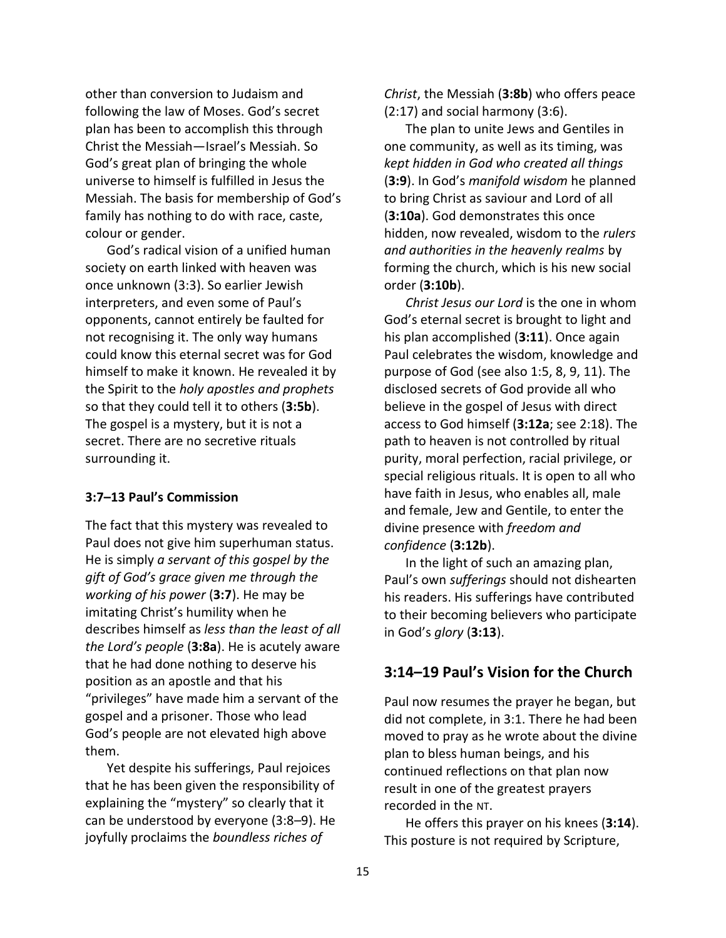other than conversion to Judaism and following the law of Moses. God's secret plan has been to accomplish this through Christ the Messiah—Israel's Messiah. So God's great plan of bringing the whole universe to himself is fulfilled in Jesus the Messiah. The basis for membership of God's family has nothing to do with race, caste, colour or gender.

God's radical vision of a unified human society on earth linked with heaven was once unknown (3:3). So earlier Jewish interpreters, and even some of Paul's opponents, cannot entirely be faulted for not recognising it. The only way humans could know this eternal secret was for God himself to make it known. He revealed it by the Spirit to the *holy apostles and prophets* so that they could tell it to others (**3:5b**). The gospel is a mystery, but it is not a secret. There are no secretive rituals surrounding it.

### **3:7–13 Paul's Commission**

The fact that this mystery was revealed to Paul does not give him superhuman status. He is simply *a servant of this gospel by the gift of God's grace given me through the working of his power* (**3:7**). He may be imitating Christ's humility when he describes himself as *less than the least of all the Lord's people* (**3:8a**). He is acutely aware that he had done nothing to deserve his position as an apostle and that his "privileges" have made him a servant of the gospel and a prisoner. Those who lead God's people are not elevated high above them.

Yet despite his sufferings, Paul rejoices that he has been given the responsibility of explaining the "mystery" so clearly that it can be understood by everyone (3:8–9). He joyfully proclaims the *boundless riches of* 

*Christ*, the Messiah (**3:8b**) who offers peace (2:17) and social harmony (3:6).

The plan to unite Jews and Gentiles in one community, as well as its timing, was *kept hidden in God who created all things* (**3:9**). In God's *manifold wisdom* he planned to bring Christ as saviour and Lord of all (**3:10a**). God demonstrates this once hidden, now revealed, wisdom to the *rulers and authorities in the heavenly realms* by forming the church, which is his new social order (**3:10b**).

*Christ Jesus our Lord* is the one in whom God's eternal secret is brought to light and his plan accomplished (**3:11**). Once again Paul celebrates the wisdom, knowledge and purpose of God (see also 1:5, 8, 9, 11). The disclosed secrets of God provide all who believe in the gospel of Jesus with direct access to God himself (**3:12a**; see 2:18). The path to heaven is not controlled by ritual purity, moral perfection, racial privilege, or special religious rituals. It is open to all who have faith in Jesus, who enables all, male and female, Jew and Gentile, to enter the divine presence with *freedom and confidence* (**3:12b**).

In the light of such an amazing plan, Paul's own *sufferings* should not dishearten his readers. His sufferings have contributed to their becoming believers who participate in God's *glory* (**3:13**).

## **3:14–19 Paul's Vision for the Church**

Paul now resumes the prayer he began, but did not complete, in 3:1. There he had been moved to pray as he wrote about the divine plan to bless human beings, and his continued reflections on that plan now result in one of the greatest prayers recorded in the NT.

He offers this prayer on his knees (**3:14**). This posture is not required by Scripture,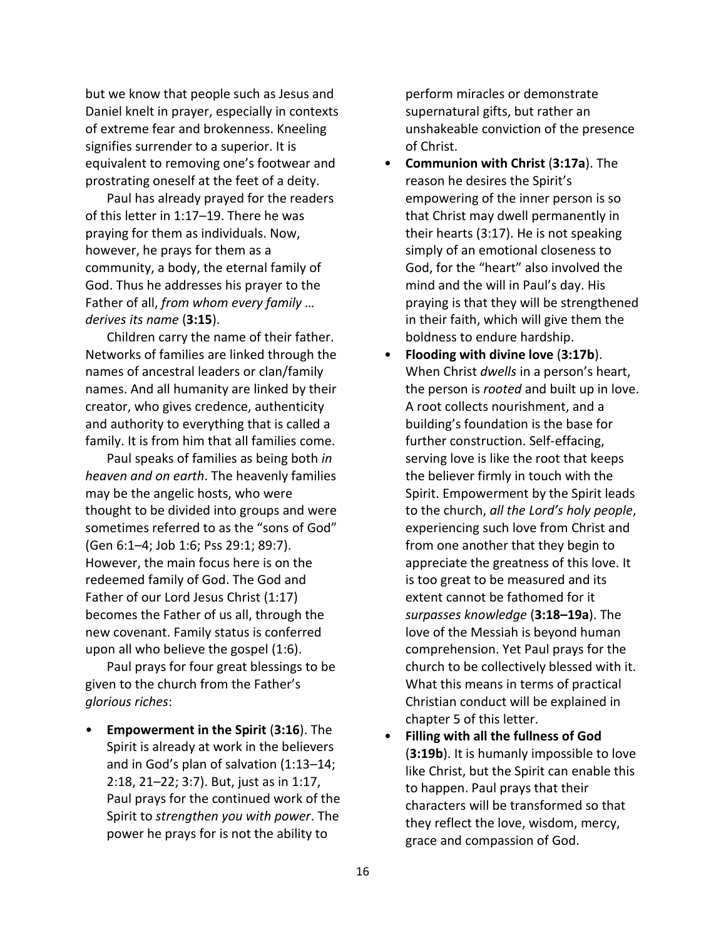but we know that people such as Jesus and Daniel knelt in prayer, especially in contexts of extreme fear and brokenness. Kneeling signifies surrender to a superior. It is equivalent to removing one's footwear and prostrating oneself at the feet of a deity.

Paul has already prayed for the readers of this letter in 1:17–19. There he was praying for them as individuals. Now, however, he prays for them as a community, a body, the eternal family of God. Thus he addresses his prayer to the Father of all, *from whom every family … derives its name* (**3:15**).

Children carry the name of their father. Networks of families are linked through the names of ancestral leaders or clan/family names. And all humanity are linked by their creator, who gives credence, authenticity and authority to everything that is called a family. It is from him that all families come.

Paul speaks of families as being both *in heaven and on earth*. The heavenly families may be the angelic hosts, who were thought to be divided into groups and were sometimes referred to as the "sons of God" (Gen 6:1–4; Job 1:6; Pss 29:1; 89:7). However, the main focus here is on the redeemed family of God. The God and Father of our Lord Jesus Christ (1:17) becomes the Father of us all, through the new covenant. Family status is conferred upon all who believe the gospel (1:6).

Paul prays for four great blessings to be given to the church from the Father's *glorious riches*:

• **Empowerment in the Spirit** (**3:16**). The Spirit is already at work in the believers and in God's plan of salvation (1:13–14; 2:18, 21–22; 3:7). But, just as in 1:17, Paul prays for the continued work of the Spirit to *strengthen you with power*. The power he prays for is not the ability to

perform miracles or demonstrate supernatural gifts, but rather an unshakeable conviction of the presence of Christ.

- **Communion with Christ** (**3:17a**). The reason he desires the Spirit's empowering of the inner person is so that Christ may dwell permanently in their hearts (3:17). He is not speaking simply of an emotional closeness to God, for the "heart" also involved the mind and the will in Paul's day. His praying is that they will be strengthened in their faith, which will give them the boldness to endure hardship.
- **Flooding with divine love** (**3:17b**). When Christ *dwells* in a person's heart, the person is *rooted* and built up in love. A root collects nourishment, and a building's foundation is the base for further construction. Self-effacing, serving love is like the root that keeps the believer firmly in touch with the Spirit. Empowerment by the Spirit leads to the church, *all the Lord's holy people*, experiencing such love from Christ and from one another that they begin to appreciate the greatness of this love. It is too great to be measured and its extent cannot be fathomed for it *surpasses knowledge* (**3:18–19a**). The love of the Messiah is beyond human comprehension. Yet Paul prays for the church to be collectively blessed with it. What this means in terms of practical Christian conduct will be explained in chapter 5 of this letter.
- **Filling with all the fullness of God** (**3:19b**). It is humanly impossible to love like Christ, but the Spirit can enable this to happen. Paul prays that their characters will be transformed so that they reflect the love, wisdom, mercy, grace and compassion of God.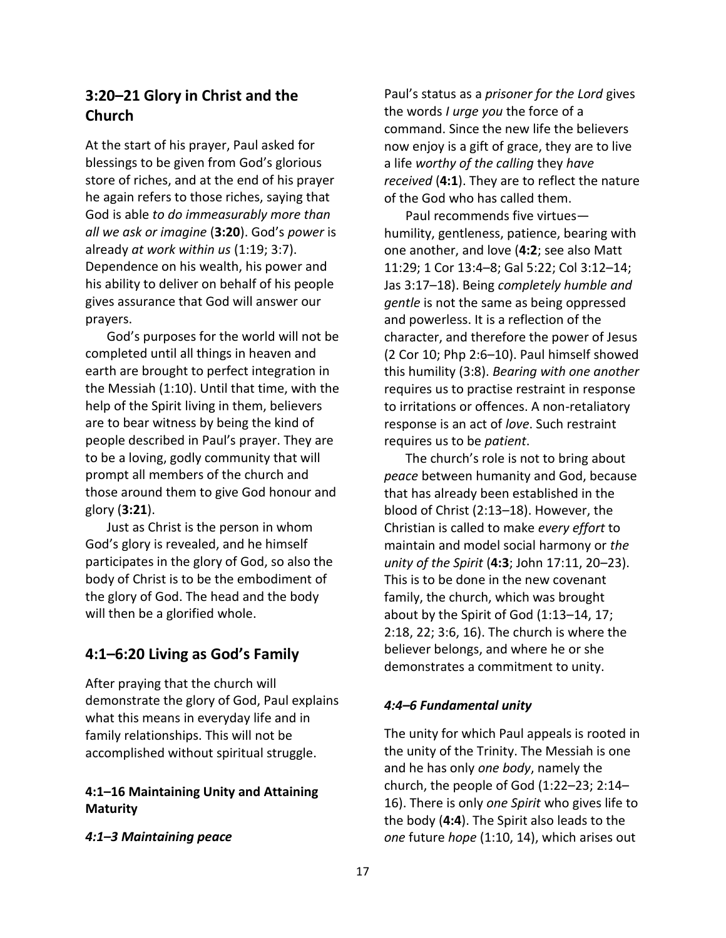## **3:20–21 Glory in Christ and the Church**

At the start of his prayer, Paul asked for blessings to be given from God's glorious store of riches, and at the end of his prayer he again refers to those riches, saying that God is able *to do immeasurably more than all we ask or imagine* (**3:20**). God's *power* is already *at work within us* (1:19; 3:7). Dependence on his wealth, his power and his ability to deliver on behalf of his people gives assurance that God will answer our prayers.

God's purposes for the world will not be completed until all things in heaven and earth are brought to perfect integration in the Messiah (1:10). Until that time, with the help of the Spirit living in them, believers are to bear witness by being the kind of people described in Paul's prayer. They are to be a loving, godly community that will prompt all members of the church and those around them to give God honour and glory (**3:21**).

Just as Christ is the person in whom God's glory is revealed, and he himself participates in the glory of God, so also the body of Christ is to be the embodiment of the glory of God. The head and the body will then be a glorified whole.

## **4:1–6:20 Living as God's Family**

After praying that the church will demonstrate the glory of God, Paul explains what this means in everyday life and in family relationships. This will not be accomplished without spiritual struggle.

## **4:1–16 Maintaining Unity and Attaining Maturity**

*4:1–3 Maintaining peace*

Paul's status as a *prisoner for the Lord* gives the words *I urge you* the force of a command. Since the new life the believers now enjoy is a gift of grace, they are to live a life *worthy of the calling* they *have received* (**4:1**). They are to reflect the nature of the God who has called them.

Paul recommends five virtues humility, gentleness, patience, bearing with one another, and love (**4:2**; see also Matt 11:29; 1 Cor 13:4–8; Gal 5:22; Col 3:12–14; Jas 3:17–18). Being *completely humble and gentle* is not the same as being oppressed and powerless. It is a reflection of the character, and therefore the power of Jesus (2 Cor 10; Php 2:6–10). Paul himself showed this humility (3:8). *Bearing with one another* requires us to practise restraint in response to irritations or offences. A non-retaliatory response is an act of *love*. Such restraint requires us to be *patient*.

The church's role is not to bring about *peace* between humanity and God, because that has already been established in the blood of Christ (2:13–18). However, the Christian is called to make *every effort* to maintain and model social harmony or *the unity of the Spirit* (**4:3**; John 17:11, 20–23). This is to be done in the new covenant family, the church, which was brought about by the Spirit of God (1:13–14, 17; 2:18, 22; 3:6, 16). The church is where the believer belongs, and where he or she demonstrates a commitment to unity.

## *4:4–6 Fundamental unity*

The unity for which Paul appeals is rooted in the unity of the Trinity. The Messiah is one and he has only *one body*, namely the church, the people of God (1:22–23; 2:14– 16). There is only *one Spirit* who gives life to the body (**4:4**). The Spirit also leads to the *one* future *hope* (1:10, 14), which arises out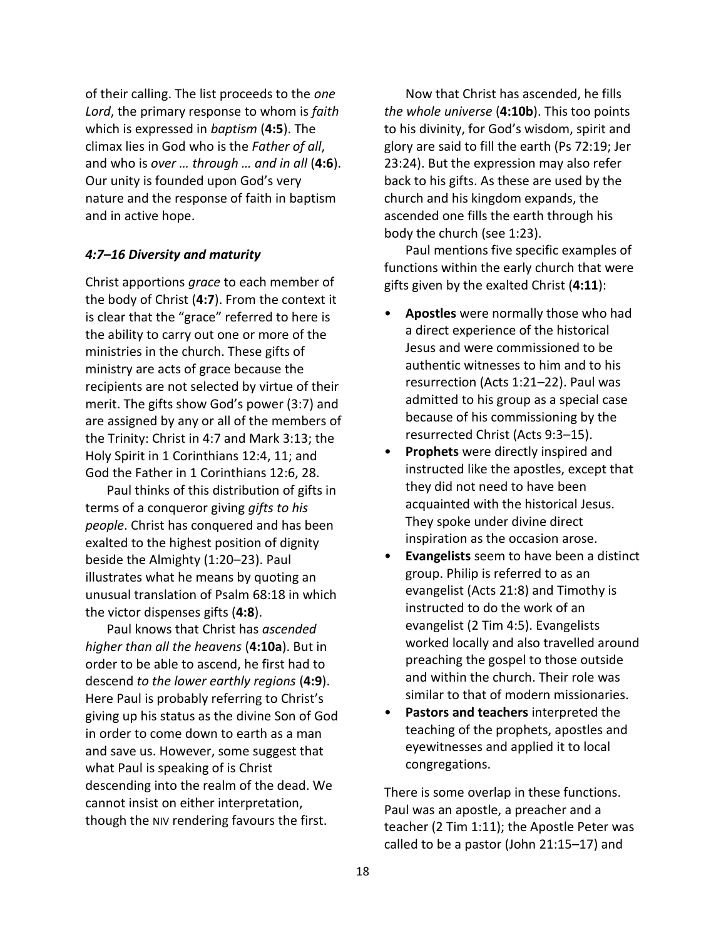of their calling. The list proceeds to the *one Lord*, the primary response to whom is *faith* which is expressed in *baptism* (**4:5**). The climax lies in God who is the *Father of all*, and who is *over … through … and in all* (**4:6**). Our unity is founded upon God's very nature and the response of faith in baptism and in active hope.

### *4:7–16 Diversity and maturity*

Christ apportions *grace* to each member of the body of Christ (**4:7**). From the context it is clear that the "grace" referred to here is the ability to carry out one or more of the ministries in the church. These gifts of ministry are acts of grace because the recipients are not selected by virtue of their merit. The gifts show God's power (3:7) and are assigned by any or all of the members of the Trinity: Christ in 4:7 and Mark 3:13; the Holy Spirit in 1 Corinthians 12:4, 11; and God the Father in 1 Corinthians 12:6, 28.

Paul thinks of this distribution of gifts in terms of a conqueror giving *gifts to his people*. Christ has conquered and has been exalted to the highest position of dignity beside the Almighty (1:20–23). Paul illustrates what he means by quoting an unusual translation of Psalm 68:18 in which the victor dispenses gifts (**4:8**).

Paul knows that Christ has *ascended higher than all the heavens* (**4:10a**). But in order to be able to ascend, he first had to descend *to the lower earthly regions* (**4:9**). Here Paul is probably referring to Christ's giving up his status as the divine Son of God in order to come down to earth as a man and save us. However, some suggest that what Paul is speaking of is Christ descending into the realm of the dead. We cannot insist on either interpretation, though the NIV rendering favours the first.

Now that Christ has ascended, he fills *the whole universe* (**4:10b**). This too points to his divinity, for God's wisdom, spirit and glory are said to fill the earth (Ps 72:19; Jer 23:24). But the expression may also refer back to his gifts. As these are used by the church and his kingdom expands, the ascended one fills the earth through his body the church (see 1:23).

Paul mentions five specific examples of functions within the early church that were gifts given by the exalted Christ (**4:11**):

- **Apostles** were normally those who had a direct experience of the historical Jesus and were commissioned to be authentic witnesses to him and to his resurrection (Acts 1:21–22). Paul was admitted to his group as a special case because of his commissioning by the resurrected Christ (Acts 9:3–15).
- **Prophets** were directly inspired and instructed like the apostles, except that they did not need to have been acquainted with the historical Jesus. They spoke under divine direct inspiration as the occasion arose.
- **Evangelists** seem to have been a distinct group. Philip is referred to as an evangelist (Acts 21:8) and Timothy is instructed to do the work of an evangelist (2 Tim 4:5). Evangelists worked locally and also travelled around preaching the gospel to those outside and within the church. Their role was similar to that of modern missionaries.
- **Pastors and teachers** interpreted the teaching of the prophets, apostles and eyewitnesses and applied it to local congregations.

There is some overlap in these functions. Paul was an apostle, a preacher and a teacher (2 Tim 1:11); the Apostle Peter was called to be a pastor (John 21:15–17) and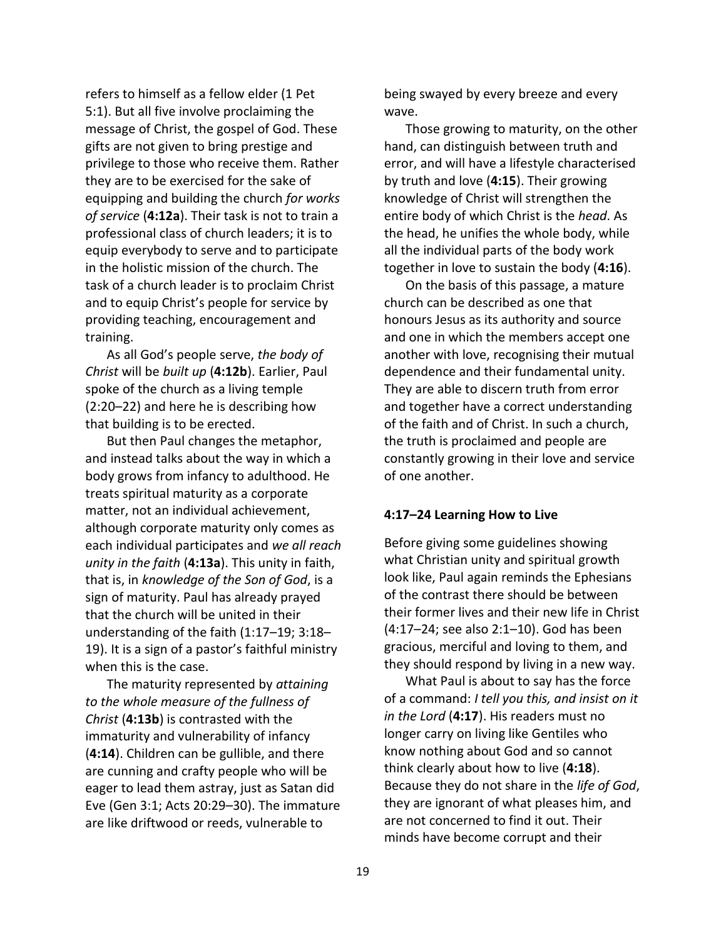refers to himself as a fellow elder (1 Pet 5:1). But all five involve proclaiming the message of Christ, the gospel of God. These gifts are not given to bring prestige and privilege to those who receive them. Rather they are to be exercised for the sake of equipping and building the church *for works of service* (**4:12a**). Their task is not to train a professional class of church leaders; it is to equip everybody to serve and to participate in the holistic mission of the church. The task of a church leader is to proclaim Christ and to equip Christ's people for service by providing teaching, encouragement and training.

As all God's people serve, *the body of Christ* will be *built up* (**4:12b**). Earlier, Paul spoke of the church as a living temple (2:20–22) and here he is describing how that building is to be erected.

But then Paul changes the metaphor, and instead talks about the way in which a body grows from infancy to adulthood. He treats spiritual maturity as a corporate matter, not an individual achievement, although corporate maturity only comes as each individual participates and *we all reach unity in the faith* (**4:13a**). This unity in faith, that is, in *knowledge of the Son of God*, is a sign of maturity. Paul has already prayed that the church will be united in their understanding of the faith (1:17–19; 3:18– 19). It is a sign of a pastor's faithful ministry when this is the case.

The maturity represented by *attaining to the whole measure of the fullness of Christ* (**4:13b**) is contrasted with the immaturity and vulnerability of infancy (**4:14**). Children can be gullible, and there are cunning and crafty people who will be eager to lead them astray, just as Satan did Eve (Gen 3:1; Acts 20:29–30). The immature are like driftwood or reeds, vulnerable to

being swayed by every breeze and every wave.

Those growing to maturity, on the other hand, can distinguish between truth and error, and will have a lifestyle characterised by truth and love (**4:15**). Their growing knowledge of Christ will strengthen the entire body of which Christ is the *head*. As the head, he unifies the whole body, while all the individual parts of the body work together in love to sustain the body (**4:16**).

On the basis of this passage, a mature church can be described as one that honours Jesus as its authority and source and one in which the members accept one another with love, recognising their mutual dependence and their fundamental unity. They are able to discern truth from error and together have a correct understanding of the faith and of Christ. In such a church, the truth is proclaimed and people are constantly growing in their love and service of one another.

### **4:17–24 Learning How to Live**

Before giving some guidelines showing what Christian unity and spiritual growth look like, Paul again reminds the Ephesians of the contrast there should be between their former lives and their new life in Christ (4:17–24; see also 2:1–10). God has been gracious, merciful and loving to them, and they should respond by living in a new way.

What Paul is about to say has the force of a command: *I tell you this, and insist on it in the Lord* (**4:17**). His readers must no longer carry on living like Gentiles who know nothing about God and so cannot think clearly about how to live (**4:18**). Because they do not share in the *life of God*, they are ignorant of what pleases him, and are not concerned to find it out. Their minds have become corrupt and their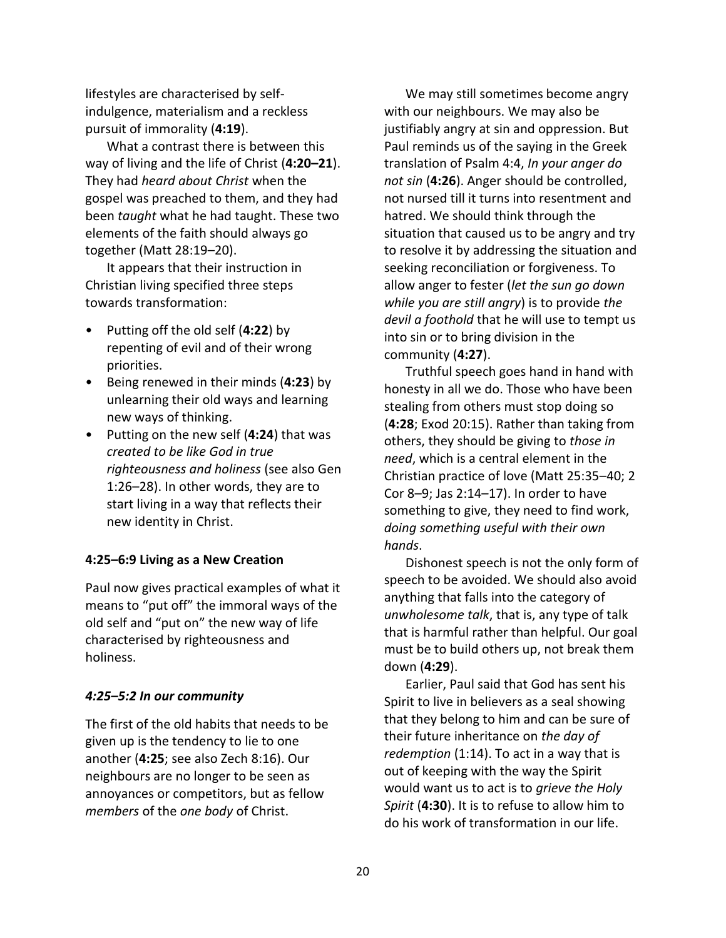lifestyles are characterised by selfindulgence, materialism and a reckless pursuit of immorality (**4:19**).

What a contrast there is between this way of living and the life of Christ (**4:20–21**). They had *heard about Christ* when the gospel was preached to them, and they had been *taught* what he had taught. These two elements of the faith should always go together (Matt 28:19–20).

It appears that their instruction in Christian living specified three steps towards transformation:

- Putting off the old self (**4:22**) by repenting of evil and of their wrong priorities.
- Being renewed in their minds (**4:23**) by unlearning their old ways and learning new ways of thinking.
- Putting on the new self (**4:24**) that was *created to be like God in true righteousness and holiness* (see also Gen 1:26–28). In other words, they are to start living in a way that reflects their new identity in Christ.

## **4:25–6:9 Living as a New Creation**

Paul now gives practical examples of what it means to "put off" the immoral ways of the old self and "put on" the new way of life characterised by righteousness and holiness.

## *4:25–5:2 In our community*

The first of the old habits that needs to be given up is the tendency to lie to one another (**4:25**; see also Zech 8:16). Our neighbours are no longer to be seen as annoyances or competitors, but as fellow *members* of the *one body* of Christ.

We may still sometimes become angry with our neighbours. We may also be justifiably angry at sin and oppression. But Paul reminds us of the saying in the Greek translation of Psalm 4:4, *In your anger do not sin* (**4:26**). Anger should be controlled, not nursed till it turns into resentment and hatred. We should think through the situation that caused us to be angry and try to resolve it by addressing the situation and seeking reconciliation or forgiveness. To allow anger to fester (*let the sun go down while you are still angry*) is to provide *the devil a foothold* that he will use to tempt us into sin or to bring division in the community (**4:27**).

Truthful speech goes hand in hand with honesty in all we do. Those who have been stealing from others must stop doing so (**4:28**; Exod 20:15). Rather than taking from others, they should be giving to *those in need*, which is a central element in the Christian practice of love (Matt 25:35–40; 2 Cor 8–9; Jas 2:14–17). In order to have something to give, they need to find work, *doing something useful with their own hands*.

Dishonest speech is not the only form of speech to be avoided. We should also avoid anything that falls into the category of *unwholesome talk*, that is, any type of talk that is harmful rather than helpful. Our goal must be to build others up, not break them down (**4:29**).

Earlier, Paul said that God has sent his Spirit to live in believers as a seal showing that they belong to him and can be sure of their future inheritance on *the day of redemption* (1:14). To act in a way that is out of keeping with the way the Spirit would want us to act is to *grieve the Holy Spirit* (**4:30**). It is to refuse to allow him to do his work of transformation in our life.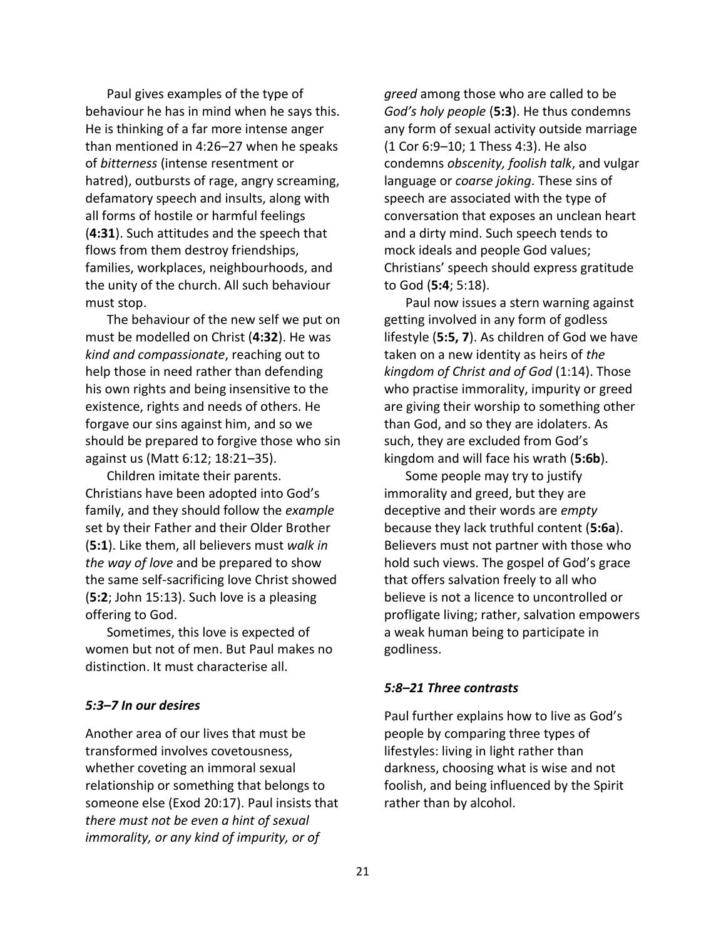Paul gives examples of the type of behaviour he has in mind when he says this. He is thinking of a far more intense anger than mentioned in 4:26–27 when he speaks of *bitterness* (intense resentment or hatred), outbursts of rage, angry screaming, defamatory speech and insults, along with all forms of hostile or harmful feelings (**4:31**). Such attitudes and the speech that flows from them destroy friendships, families, workplaces, neighbourhoods, and the unity of the church. All such behaviour must stop.

The behaviour of the new self we put on must be modelled on Christ (**4:32**). He was *kind and compassionate*, reaching out to help those in need rather than defending his own rights and being insensitive to the existence, rights and needs of others. He forgave our sins against him, and so we should be prepared to forgive those who sin against us (Matt 6:12; 18:21–35).

Children imitate their parents. Christians have been adopted into God's family, and they should follow the *example* set by their Father and their Older Brother (**5:1**). Like them, all believers must *walk in the way of love* and be prepared to show the same self-sacrificing love Christ showed (**5:2**; John 15:13). Such love is a pleasing offering to God.

Sometimes, this love is expected of women but not of men. But Paul makes no distinction. It must characterise all.

### *5:3–7 In our desires*

Another area of our lives that must be transformed involves covetousness, whether coveting an immoral sexual relationship or something that belongs to someone else (Exod 20:17). Paul insists that *there must not be even a hint of sexual immorality, or any kind of impurity, or of* 

*greed* among those who are called to be *God's holy people* (**5:3**). He thus condemns any form of sexual activity outside marriage (1 Cor 6:9–10; 1 Thess 4:3). He also condemns *obscenity, foolish talk*, and vulgar language or *coarse joking*. These sins of speech are associated with the type of conversation that exposes an unclean heart and a dirty mind. Such speech tends to mock ideals and people God values; Christians' speech should express gratitude to God (**5:4**; 5:18).

Paul now issues a stern warning against getting involved in any form of godless lifestyle (**5:5, 7**). As children of God we have taken on a new identity as heirs of *the kingdom of Christ and of God* (1:14). Those who practise immorality, impurity or greed are giving their worship to something other than God, and so they are idolaters. As such, they are excluded from God's kingdom and will face his wrath (**5:6b**).

Some people may try to justify immorality and greed, but they are deceptive and their words are *empty* because they lack truthful content (**5:6a**). Believers must not partner with those who hold such views. The gospel of God's grace that offers salvation freely to all who believe is not a licence to uncontrolled or profligate living; rather, salvation empowers a weak human being to participate in godliness.

### *5:8–21 Three contrasts*

Paul further explains how to live as God's people by comparing three types of lifestyles: living in light rather than darkness, choosing what is wise and not foolish, and being influenced by the Spirit rather than by alcohol.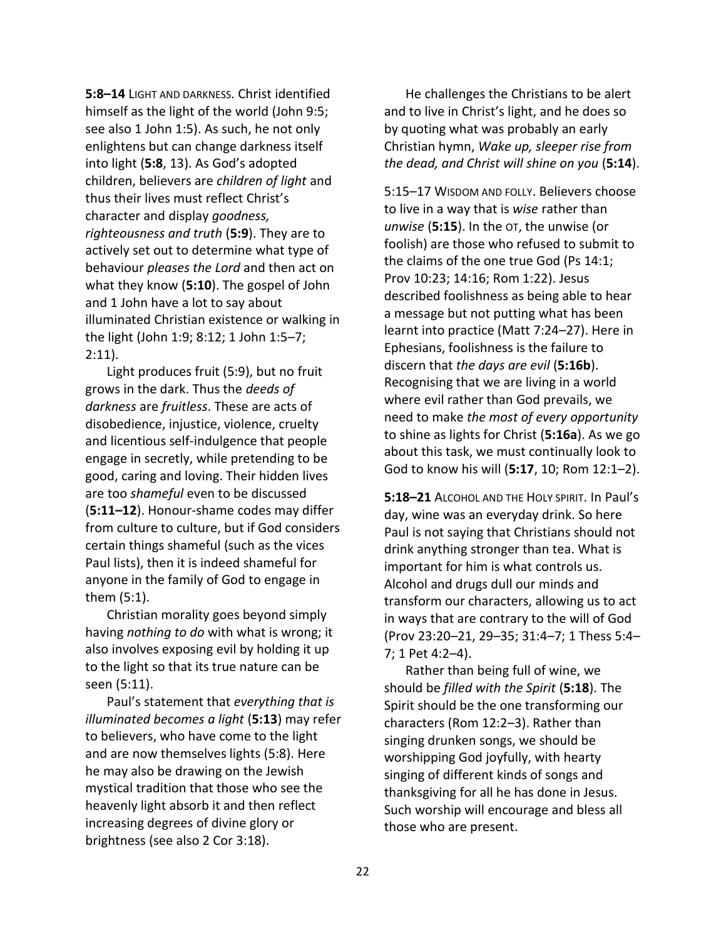**5:8–14** LIGHT AND DARKNESS. Christ identified himself as the light of the world (John 9:5; see also 1 John 1:5). As such, he not only enlightens but can change darkness itself into light (**5:8**, 13). As God's adopted children, believers are *children of light* and thus their lives must reflect Christ's character and display *goodness, righteousness and truth* (**5:9**). They are to actively set out to determine what type of behaviour *pleases the Lord* and then act on what they know (**5:10**). The gospel of John and 1 John have a lot to say about illuminated Christian existence or walking in the light (John 1:9; 8:12; 1 John 1:5–7; 2:11).

Light produces fruit (5:9), but no fruit grows in the dark. Thus the *deeds of darkness* are *fruitless*. These are acts of disobedience, injustice, violence, cruelty and licentious self-indulgence that people engage in secretly, while pretending to be good, caring and loving. Their hidden lives are too *shameful* even to be discussed (**5:11–12**). Honour-shame codes may differ from culture to culture, but if God considers certain things shameful (such as the vices Paul lists), then it is indeed shameful for anyone in the family of God to engage in them (5:1).

Christian morality goes beyond simply having *nothing to do* with what is wrong; it also involves exposing evil by holding it up to the light so that its true nature can be seen (5:11).

Paul's statement that *everything that is illuminated becomes a light* (**5:13**) may refer to believers, who have come to the light and are now themselves lights (5:8). Here he may also be drawing on the Jewish mystical tradition that those who see the heavenly light absorb it and then reflect increasing degrees of divine glory or brightness (see also 2 Cor 3:18).

He challenges the Christians to be alert and to live in Christ's light, and he does so by quoting what was probably an early Christian hymn, *Wake up, sleeper rise from the dead, and Christ will shine on you* (**5:14**).

5:15–17 WISDOM AND FOLLY. Believers choose to live in a way that is *wise* rather than *unwise* (**5:15**). In the OT, the unwise (or foolish) are those who refused to submit to the claims of the one true God (Ps 14:1; Prov 10:23; 14:16; Rom 1:22). Jesus described foolishness as being able to hear a message but not putting what has been learnt into practice (Matt 7:24–27). Here in Ephesians, foolishness is the failure to discern that *the days are evil* (**5:16b**). Recognising that we are living in a world where evil rather than God prevails, we need to make *the most of every opportunity* to shine as lights for Christ (**5:16a**). As we go about this task, we must continually look to God to know his will (**5:17**, 10; Rom 12:1–2).

**5:18–21** ALCOHOL AND THE HOLY SPIRIT. In Paul's day, wine was an everyday drink. So here Paul is not saying that Christians should not drink anything stronger than tea. What is important for him is what controls us. Alcohol and drugs dull our minds and transform our characters, allowing us to act in ways that are contrary to the will of God (Prov 23:20–21, 29–35; 31:4–7; 1 Thess 5:4– 7; 1 Pet 4:2–4).

Rather than being full of wine, we should be *filled with the Spirit* (**5:18**). The Spirit should be the one transforming our characters (Rom 12:2–3). Rather than singing drunken songs, we should be worshipping God joyfully, with hearty singing of different kinds of songs and thanksgiving for all he has done in Jesus. Such worship will encourage and bless all those who are present.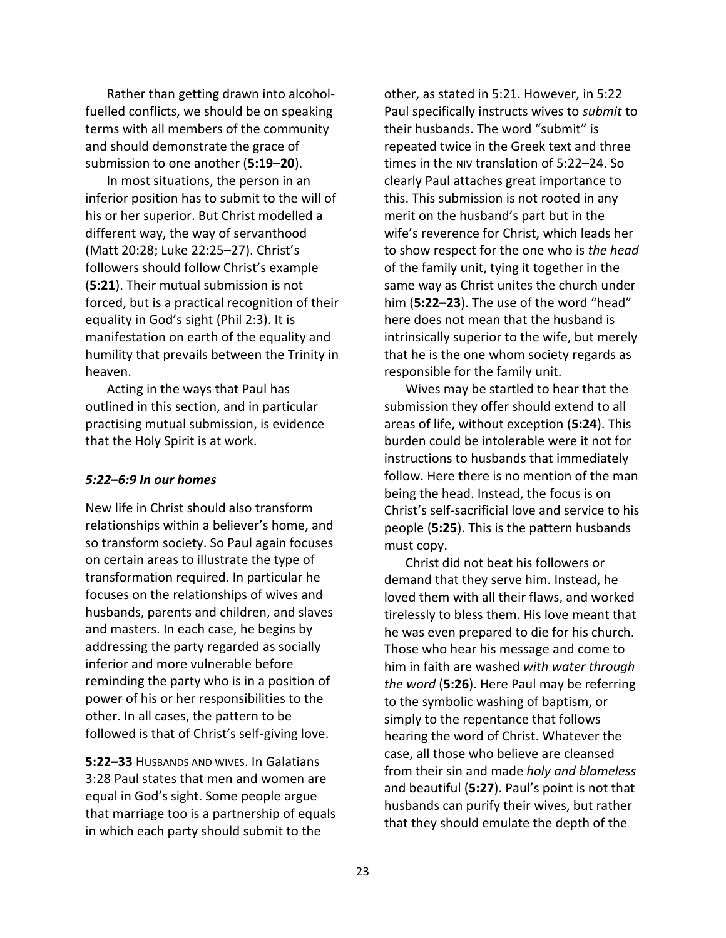Rather than getting drawn into alcoholfuelled conflicts, we should be on speaking terms with all members of the community and should demonstrate the grace of submission to one another (**5:19–20**).

In most situations, the person in an inferior position has to submit to the will of his or her superior. But Christ modelled a different way, the way of servanthood (Matt 20:28; Luke 22:25–27). Christ's followers should follow Christ's example (**5:21**). Their mutual submission is not forced, but is a practical recognition of their equality in God's sight (Phil 2:3). It is manifestation on earth of the equality and humility that prevails between the Trinity in heaven.

Acting in the ways that Paul has outlined in this section, and in particular practising mutual submission, is evidence that the Holy Spirit is at work.

### *5:22–6:9 In our homes*

New life in Christ should also transform relationships within a believer's home, and so transform society. So Paul again focuses on certain areas to illustrate the type of transformation required. In particular he focuses on the relationships of wives and husbands, parents and children, and slaves and masters. In each case, he begins by addressing the party regarded as socially inferior and more vulnerable before reminding the party who is in a position of power of his or her responsibilities to the other. In all cases, the pattern to be followed is that of Christ's self-giving love.

**5:22–33** HUSBANDS AND WIVES. In Galatians 3:28 Paul states that men and women are equal in God's sight. Some people argue that marriage too is a partnership of equals in which each party should submit to the

other, as stated in 5:21. However, in 5:22 Paul specifically instructs wives to *submit* to their husbands. The word "submit" is repeated twice in the Greek text and three times in the NIV translation of 5:22–24. So clearly Paul attaches great importance to this. This submission is not rooted in any merit on the husband's part but in the wife's reverence for Christ, which leads her to show respect for the one who is *the head* of the family unit, tying it together in the same way as Christ unites the church under him (**5:22–23**). The use of the word "head" here does not mean that the husband is intrinsically superior to the wife, but merely that he is the one whom society regards as responsible for the family unit.

Wives may be startled to hear that the submission they offer should extend to all areas of life, without exception (**5:24**). This burden could be intolerable were it not for instructions to husbands that immediately follow. Here there is no mention of the man being the head. Instead, the focus is on Christ's self-sacrificial love and service to his people (**5:25**). This is the pattern husbands must copy.

Christ did not beat his followers or demand that they serve him. Instead, he loved them with all their flaws, and worked tirelessly to bless them. His love meant that he was even prepared to die for his church. Those who hear his message and come to him in faith are washed *with water through the word* (**5:26**). Here Paul may be referring to the symbolic washing of baptism, or simply to the repentance that follows hearing the word of Christ. Whatever the case, all those who believe are cleansed from their sin and made *holy and blameless* and beautiful (**5:27**). Paul's point is not that husbands can purify their wives, but rather that they should emulate the depth of the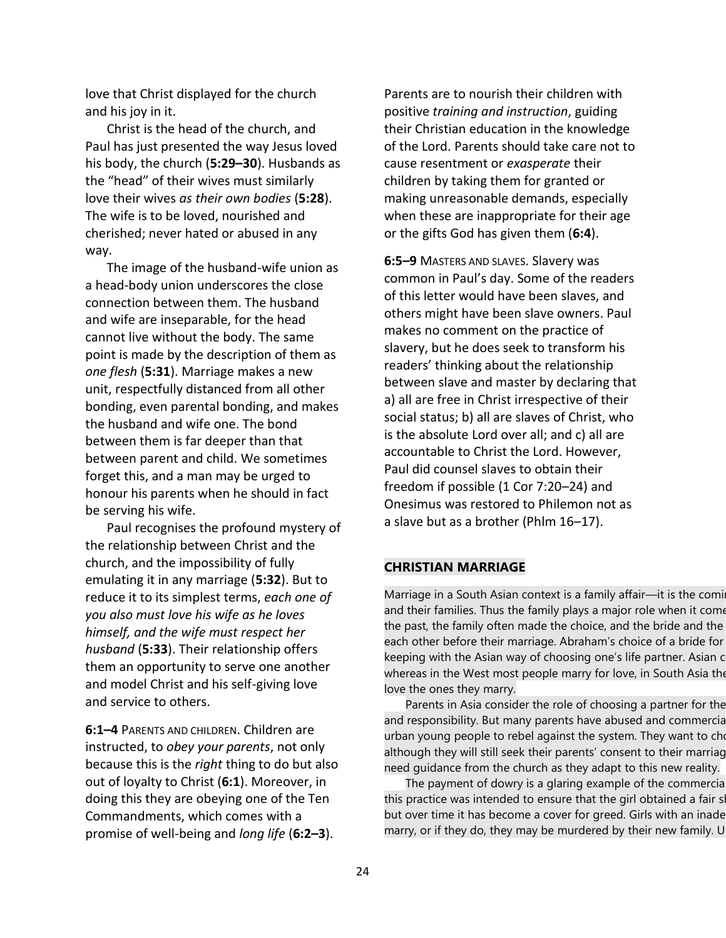love that Christ displayed for the church and his joy in it.

Christ is the head of the church, and Paul has just presented the way Jesus loved his body, the church (**5:29–30**). Husbands as the "head" of their wives must similarly love their wives *as their own bodies* (**5:28**). The wife is to be loved, nourished and cherished; never hated or abused in any way.

The image of the husband-wife union as a head-body union underscores the close connection between them. The husband and wife are inseparable, for the head cannot live without the body. The same point is made by the description of them as *one flesh* (**5:31**). Marriage makes a new unit, respectfully distanced from all other bonding, even parental bonding, and makes the husband and wife one. The bond between them is far deeper than that between parent and child. We sometimes forget this, and a man may be urged to honour his parents when he should in fact be serving his wife.

Paul recognises the profound mystery of the relationship between Christ and the church, and the impossibility of fully emulating it in any marriage (**5:32**). But to reduce it to its simplest terms, *each one of you also must love his wife as he loves himself, and the wife must respect her husband* (**5:33**). Their relationship offers them an opportunity to serve one another and model Christ and his self-giving love and service to others.

**6:1–4** PARENTS AND CHILDREN. Children are instructed, to *obey your parents*, not only because this is the *right* thing to do but also out of loyalty to Christ (**6:1**). Moreover, in doing this they are obeying one of the Ten Commandments, which comes with a promise of well-being and *long life* (**6:2–3**).

Parents are to nourish their children with positive *training and instruction*, guiding their Christian education in the knowledge of the Lord. Parents should take care not to cause resentment or *exasperate* their children by taking them for granted or making unreasonable demands, especially when these are inappropriate for their age or the gifts God has given them (**6:4**).

**6:5–9** MASTERS AND SLAVES. Slavery was common in Paul's day. Some of the readers of this letter would have been slaves, and others might have been slave owners. Paul makes no comment on the practice of slavery, but he does seek to transform his readers' thinking about the relationship between slave and master by declaring that a) all are free in Christ irrespective of their social status; b) all are slaves of Christ, who is the absolute Lord over all; and c) all are accountable to Christ the Lord. However, Paul did counsel slaves to obtain their freedom if possible (1 Cor 7:20–24) and Onesimus was restored to Philemon not as a slave but as a brother (Phlm 16–17).

### **CHRISTIAN MARRIAGE**

Marriage in a South Asian context is a family affair—it is the comi and their families. Thus the family plays a major role when it come the past, the family often made the choice, and the bride and the each other before their marriage. Abraham's choice of a bride for keeping with the Asian way of choosing one's life partner. Asian c whereas in the West most people marry for love, in South Asia the love the ones they marry.

Parents in Asia consider the role of choosing a partner for the and responsibility. But many parents have abused and commercia urban young people to rebel against the system. They want to cho although they will still seek their parents' consent to their marriag need guidance from the church as they adapt to this new reality.

The payment of dowry is a glaring example of the commercia this practice was intended to ensure that the girl obtained a fair share but over time it has become a cover for greed. Girls with an inade marry, or if they do, they may be murdered by their new family. U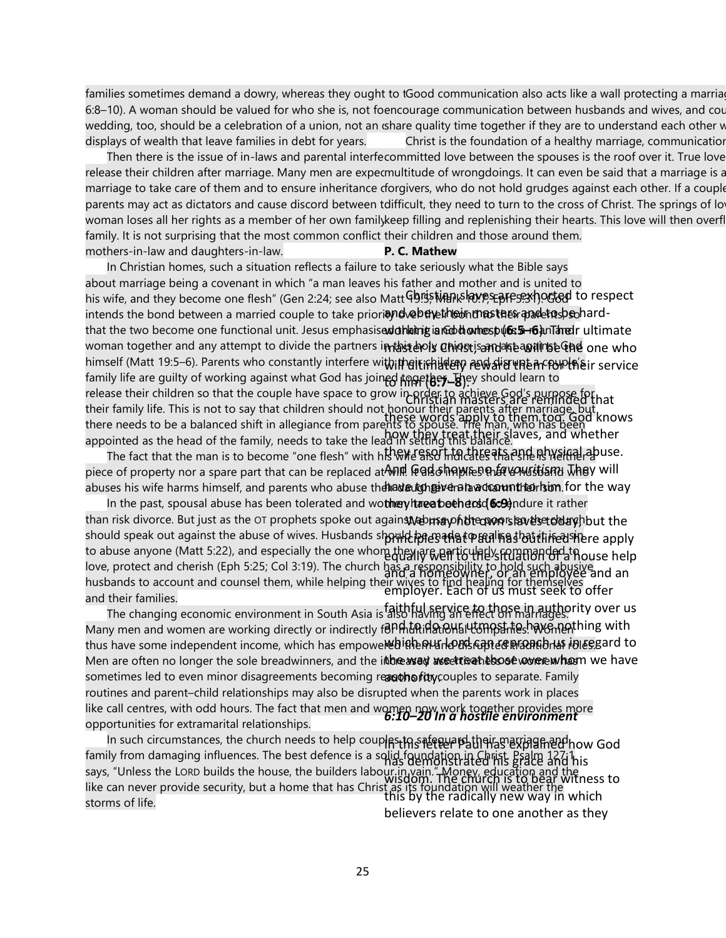families sometimes demand a dowry, whereas they ought to tGood communication also acts like a wall protecting a marria 6:8–10). A woman should be valued for who she is, not foencourage communication between husbands and wives, and cou wedding, too, should be a celebration of a union, not an «share quality time together if they are to understand each other w displays of wealth that leave families in debt for years. Christ is the foundation of a healthy marriage, communication

Then there is the issue of in-laws and parental interfecommitted love between the spouses is the roof over it. True love release their children after marriage. Many men are expecmultitude of wrongdoings. It can even be said that a marriage is a marriage to take care of them and to ensure inheritance dorgivers, who do not hold grudges against each other. If a couple parents may act as dictators and cause discord between tdifficult, they need to turn to the cross of Christ. The springs of love woman loses all her rights as a member of her own familykeep filling and replenishing their hearts. This love will then overfl family. It is not surprising that the most common conflict their children and those around them. mothers-in-law and daughters-in-law. **P. C. Mathew**

In Christian homes, such a situation reflects a failure to take seriously what the Bible says about marriage being a covenant in which "a man leaves his father and mother and is united to his wife, and they become one flesh" (Gen 2:24; see also Matt Gb!! ship have stare sexhocted to respect intends the bond between a married couple to take priorinnolole thein masthes and to bond rdthat the two become one functional unit. Jesus emphasised that it is God who puts a man and working and honest (**6:5–6**). Their ultimate woman together and any attempt to divide the partners i**n tast eoly Chiqs**tis and a teagiling the one who himself (Matt 19:5–6). Parents who constantly interfere wi**th theit rhildery rew**afie encouple's envice family life are guilty of working against what God has joined toget**her. B**jey should learn to the fact to him ( release their children so that the couple have space to grow in order to achieve God's purpose for hat<br>their family life. This is not to southet shildren should not handlugted in masters are reminded that their family life. This is not to say that children should not honour their parents after marriage, but there needs to be a balanced shift in allegiance from parents to spouse. The man, who has been appointed as the head of the family, needs to take the lead in setting this balance. these words apply to them too. God knows how they treat their slaves, and whether

The fact that the man is to become "one flesh" with hts WHE SAOT htachtes at a she is neither abuse. piece of property nor a spare part that can be replaced at will. It also implies that a husband who And God shows no *favouritism*. They will abuses his wife harms himself, and parents who abuse th**e่าอชอบgาญ หลาล องจอนทาthar sim** for the way

In the past, spousal abuse has been tolerated and wo**thery have been end fo en**dure it rather than risk divorce. But just as the OT prophets spoke out again**sለ**ቂb**෦෦ඃჵ**yħ**ඁt෦ඏ෨෬෦ಽ෦ෲvඁ෪ඁඃඦඁඦ෭෦ඁ෦**෯෦෦෭ the should speak out against the abuse of wives. Husbands sh**or। Ic in a sin in a sin in a** should speak pere apply to abuse anyone (Matt 5:22), and especially the one whom they are particularly strugtion of a house help love, protect and cherish (Eph 5:25; Col 3:19). The church has a responsibility to hold such abusive husbands to account and counsel them, while helping their wives to find healing for themselves and their families. and a homeowner, or an employee and an employer. Each of us must seek to offer

men commer.<br>The changing economic environment in South Asia is also having an effect on marriages. Many men and women are working directly or indirectly for htmthing by have the have next hing with thus have some independent income, which has empowe**৷ebiຄheନપકાને ଉପରେ ନାରେ ନାରେ ନାର** ।<br>thus have some independent income, which has empowe**৷ebi**ຄheନ୍ୟମ **ତମ୍ପରେ ନାରେ ନାର** । Men are often no longer the sole breadwinners, and the itibeeared are the theose women has meen have sometimes led to even minor disagreements becoming reanathofittycouples to separate. Family routines and parent–child relationships may also be disrupted when the parents work in places like call centres, with odd hours. The fact that men and women now work together provides more *6:10–20 In a hostile environment* opportunities for extramarital relationships.

In such circumstances, the church needs to help couples the return pathernal their grade how God family from damaging influences. The best defence is a solid foundation in Christ. Practe and his says, "Unless the LORD builds the house, the builders labour in vain." Money, education and the wisdom.<br>Wisdom. The church is to been witness to like can never provide security, but a home that has Christ as its foundation will weather the this by the radically new way in which storms of life.

believers relate to one another as they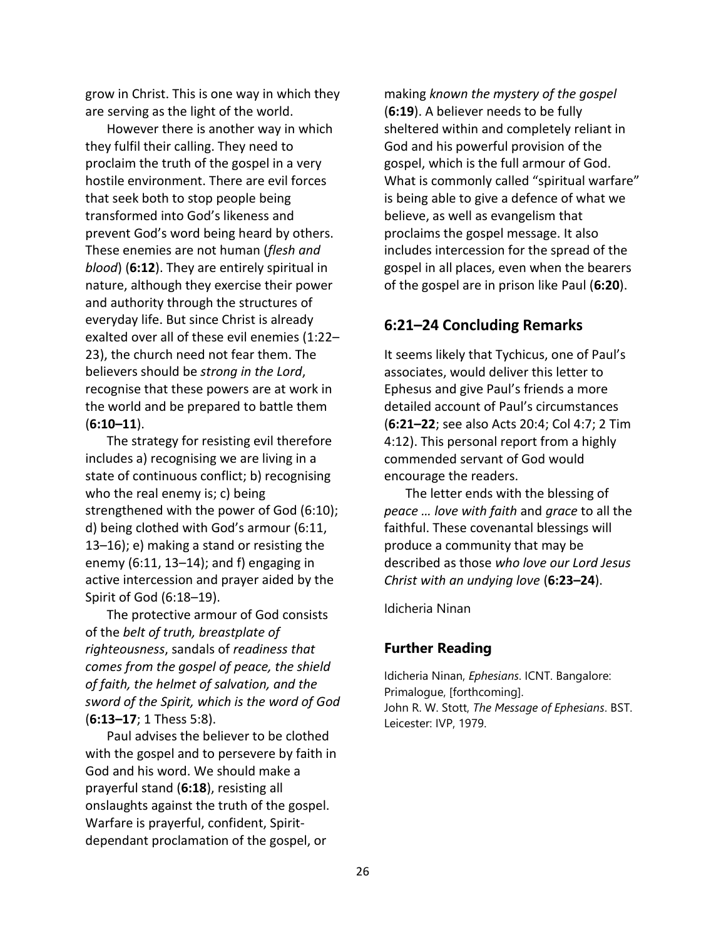grow in Christ. This is one way in which they are serving as the light of the world.

However there is another way in which they fulfil their calling. They need to proclaim the truth of the gospel in a very hostile environment. There are evil forces that seek both to stop people being transformed into God's likeness and prevent God's word being heard by others. These enemies are not human (*flesh and blood*) (**6:12**). They are entirely spiritual in nature, although they exercise their power and authority through the structures of everyday life. But since Christ is already exalted over all of these evil enemies (1:22– 23), the church need not fear them. The believers should be *strong in the Lord*, recognise that these powers are at work in the world and be prepared to battle them (**6:10–11**).

The strategy for resisting evil therefore includes a) recognising we are living in a state of continuous conflict; b) recognising who the real enemy is; c) being strengthened with the power of God (6:10); d) being clothed with God's armour (6:11, 13–16); e) making a stand or resisting the enemy  $(6:11, 13-14)$ ; and f) engaging in active intercession and prayer aided by the Spirit of God (6:18–19).

The protective armour of God consists of the *belt of truth, breastplate of righteousness*, sandals of *readiness that comes from the gospel of peace, the shield of faith, the helmet of salvation, and the sword of the Spirit, which is the word of God* (**6:13–17**; 1 Thess 5:8).

Paul advises the believer to be clothed with the gospel and to persevere by faith in God and his word. We should make a prayerful stand (**6:18**), resisting all onslaughts against the truth of the gospel. Warfare is prayerful, confident, Spiritdependant proclamation of the gospel, or

making *known the mystery of the gospel* (**6:19**). A believer needs to be fully sheltered within and completely reliant in God and his powerful provision of the gospel, which is the full armour of God. What is commonly called "spiritual warfare" is being able to give a defence of what we believe, as well as evangelism that proclaims the gospel message. It also includes intercession for the spread of the gospel in all places, even when the bearers of the gospel are in prison like Paul (**6:20**).

## **6:21–24 Concluding Remarks**

It seems likely that Tychicus, one of Paul's associates, would deliver this letter to Ephesus and give Paul's friends a more detailed account of Paul's circumstances (**6:21–22**; see also Acts 20:4; Col 4:7; 2 Tim 4:12). This personal report from a highly commended servant of God would encourage the readers.

The letter ends with the blessing of *peace … love with faith* and *grace* to all the faithful. These covenantal blessings will produce a community that may be described as those *who love our Lord Jesus Christ with an undying love* (**6:23–24**).

Idicheria Ninan

## **Further Reading**

Idicheria Ninan, *Ephesians*. ICNT. Bangalore: Primalogue, [forthcoming]. John R. W. Stott, *The Message of Ephesians*. BST. Leicester: IVP, 1979.